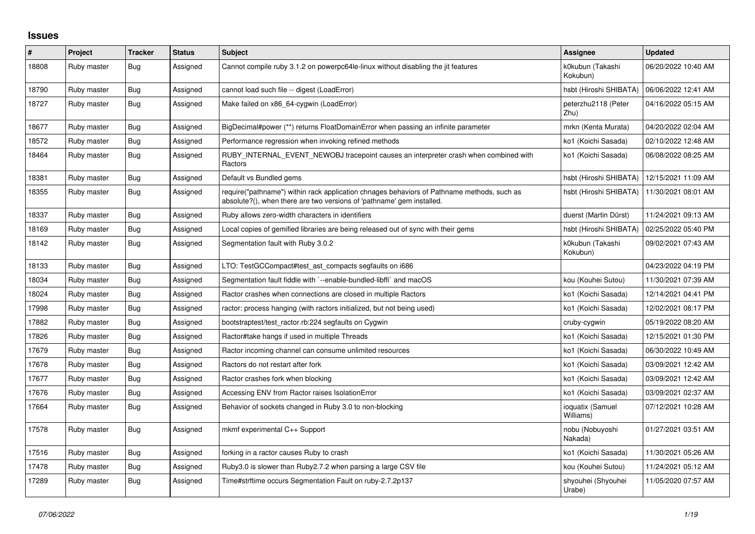## **Issues**

| $\vert$ # | Project     | <b>Tracker</b> | <b>Status</b> | <b>Subject</b>                                                                                                                                                      | <b>Assignee</b>               | <b>Updated</b>      |
|-----------|-------------|----------------|---------------|---------------------------------------------------------------------------------------------------------------------------------------------------------------------|-------------------------------|---------------------|
| 18808     | Ruby master | Bug            | Assigned      | Cannot compile ruby 3.1.2 on powerpc64le-linux without disabling the jit features                                                                                   | k0kubun (Takashi<br>Kokubun)  | 06/20/2022 10:40 AM |
| 18790     | Ruby master | Bug            | Assigned      | cannot load such file -- digest (LoadError)                                                                                                                         | hsbt (Hiroshi SHIBATA)        | 06/06/2022 12:41 AM |
| 18727     | Ruby master | Bug            | Assigned      | Make failed on x86 64-cygwin (LoadError)                                                                                                                            | peterzhu2118 (Peter<br>Zhu)   | 04/16/2022 05:15 AM |
| 18677     | Ruby master | Bug            | Assigned      | BigDecimal#power (**) returns FloatDomainError when passing an infinite parameter                                                                                   | mrkn (Kenta Murata)           | 04/20/2022 02:04 AM |
| 18572     | Ruby master | <b>Bug</b>     | Assigned      | Performance regression when invoking refined methods                                                                                                                | ko1 (Koichi Sasada)           | 02/10/2022 12:48 AM |
| 18464     | Ruby master | Bug            | Assigned      | RUBY_INTERNAL_EVENT_NEWOBJ tracepoint causes an interpreter crash when combined with<br>Ractors                                                                     | ko1 (Koichi Sasada)           | 06/08/2022 08:25 AM |
| 18381     | Ruby master | Bug            | Assigned      | Default vs Bundled gems                                                                                                                                             | hsbt (Hiroshi SHIBATA)        | 12/15/2021 11:09 AM |
| 18355     | Ruby master | Bug            | Assigned      | require("pathname") within rack application chnages behaviors of Pathname methods, such as<br>absolute?(), when there are two versions of 'pathname' gem installed. | hsbt (Hiroshi SHIBATA)        | 11/30/2021 08:01 AM |
| 18337     | Ruby master | <b>Bug</b>     | Assigned      | Ruby allows zero-width characters in identifiers                                                                                                                    | duerst (Martin Dürst)         | 11/24/2021 09:13 AM |
| 18169     | Ruby master | Bug            | Assigned      | Local copies of gemified libraries are being released out of sync with their gems                                                                                   | hsbt (Hiroshi SHIBATA)        | 02/25/2022 05:40 PM |
| 18142     | Ruby master | <b>Bug</b>     | Assigned      | Segmentation fault with Ruby 3.0.2                                                                                                                                  | k0kubun (Takashi<br>Kokubun)  | 09/02/2021 07:43 AM |
| 18133     | Ruby master | <b>Bug</b>     | Assigned      | LTO: TestGCCompact#test_ast_compacts segfaults on i686                                                                                                              |                               | 04/23/2022 04:19 PM |
| 18034     | Ruby master | Bug            | Assigned      | Segmentation fault fiddle with `--enable-bundled-libffi` and macOS                                                                                                  | kou (Kouhei Sutou)            | 11/30/2021 07:39 AM |
| 18024     | Ruby master | <b>Bug</b>     | Assigned      | Ractor crashes when connections are closed in multiple Ractors                                                                                                      | ko1 (Koichi Sasada)           | 12/14/2021 04:41 PM |
| 17998     | Ruby master | Bug            | Assigned      | ractor: process hanging (with ractors initialized, but not being used)                                                                                              | ko1 (Koichi Sasada)           | 12/02/2021 08:17 PM |
| 17882     | Ruby master | <b>Bug</b>     | Assigned      | bootstraptest/test_ractor.rb:224 segfaults on Cygwin                                                                                                                | cruby-cygwin                  | 05/19/2022 08:20 AM |
| 17826     | Ruby master | Bug            | Assigned      | Ractor#take hangs if used in multiple Threads                                                                                                                       | ko1 (Koichi Sasada)           | 12/15/2021 01:30 PM |
| 17679     | Ruby master | Bug            | Assigned      | Ractor incoming channel can consume unlimited resources                                                                                                             | ko1 (Koichi Sasada)           | 06/30/2022 10:49 AM |
| 17678     | Ruby master | <b>Bug</b>     | Assigned      | Ractors do not restart after fork                                                                                                                                   | ko1 (Koichi Sasada)           | 03/09/2021 12:42 AM |
| 17677     | Ruby master | Bug            | Assigned      | Ractor crashes fork when blocking                                                                                                                                   | ko1 (Koichi Sasada)           | 03/09/2021 12:42 AM |
| 17676     | Ruby master | Bug            | Assigned      | Accessing ENV from Ractor raises IsolationError                                                                                                                     | ko1 (Koichi Sasada)           | 03/09/2021 02:37 AM |
| 17664     | Ruby master | Bug            | Assigned      | Behavior of sockets changed in Ruby 3.0 to non-blocking                                                                                                             | ioquatix (Samuel<br>Williams) | 07/12/2021 10:28 AM |
| 17578     | Ruby master | Bug            | Assigned      | mkmf experimental C++ Support                                                                                                                                       | nobu (Nobuyoshi<br>Nakada)    | 01/27/2021 03:51 AM |
| 17516     | Ruby master | Bug            | Assigned      | forking in a ractor causes Ruby to crash                                                                                                                            | ko1 (Koichi Sasada)           | 11/30/2021 05:26 AM |
| 17478     | Ruby master | Bug            | Assigned      | Ruby 3.0 is slower than Ruby 2.7.2 when parsing a large CSV file                                                                                                    | kou (Kouhei Sutou)            | 11/24/2021 05:12 AM |
| 17289     | Ruby master | Bug            | Assigned      | Time#strftime occurs Segmentation Fault on ruby-2.7.2p137                                                                                                           | shyouhei (Shyouhei<br>Urabe)  | 11/05/2020 07:57 AM |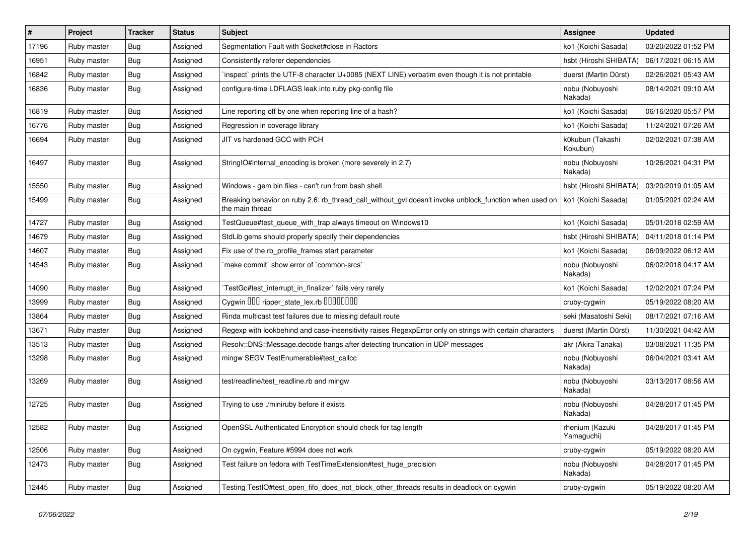| #     | Project     | <b>Tracker</b> | <b>Status</b> | <b>Subject</b>                                                                                                            | <b>Assignee</b>               | <b>Updated</b>      |
|-------|-------------|----------------|---------------|---------------------------------------------------------------------------------------------------------------------------|-------------------------------|---------------------|
| 17196 | Ruby master | <b>Bug</b>     | Assigned      | Segmentation Fault with Socket#close in Ractors                                                                           | ko1 (Koichi Sasada)           | 03/20/2022 01:52 PM |
| 16951 | Ruby master | Bug            | Assigned      | Consistently referer dependencies                                                                                         | hsbt (Hiroshi SHIBATA)        | 06/17/2021 06:15 AM |
| 16842 | Ruby master | Bug            | Assigned      | inspect` prints the UTF-8 character U+0085 (NEXT LINE) verbatim even though it is not printable                           | duerst (Martin Dürst)         | 02/26/2021 05:43 AM |
| 16836 | Ruby master | Bug            | Assigned      | configure-time LDFLAGS leak into ruby pkg-config file                                                                     | nobu (Nobuyoshi<br>Nakada)    | 08/14/2021 09:10 AM |
| 16819 | Ruby master | Bug            | Assigned      | Line reporting off by one when reporting line of a hash?                                                                  | ko1 (Koichi Sasada)           | 06/16/2020 05:57 PM |
| 16776 | Ruby master | Bug            | Assigned      | Regression in coverage library                                                                                            | ko1 (Koichi Sasada)           | 11/24/2021 07:26 AM |
| 16694 | Ruby master | <b>Bug</b>     | Assigned      | JIT vs hardened GCC with PCH                                                                                              | k0kubun (Takashi<br>Kokubun)  | 02/02/2021 07:38 AM |
| 16497 | Ruby master | Bug            | Assigned      | String O#internal encoding is broken (more severely in 2.7)                                                               | nobu (Nobuyoshi<br>Nakada)    | 10/26/2021 04:31 PM |
| 15550 | Ruby master | Bug            | Assigned      | Windows - gem bin files - can't run from bash shell                                                                       | hsbt (Hiroshi SHIBATA)        | 03/20/2019 01:05 AM |
| 15499 | Ruby master | Bug            | Assigned      | Breaking behavior on ruby 2.6: rb_thread_call_without_gvl doesn't invoke unblock_function when used on<br>the main thread | ko1 (Koichi Sasada)           | 01/05/2021 02:24 AM |
| 14727 | Ruby master | Bug            | Assigned      | TestQueue#test_queue_with_trap always timeout on Windows10                                                                | ko1 (Koichi Sasada)           | 05/01/2018 02:59 AM |
| 14679 | Ruby master | Bug            | Assigned      | StdLib gems should properly specify their dependencies                                                                    | hsbt (Hiroshi SHIBATA)        | 04/11/2018 01:14 PM |
| 14607 | Ruby master | <b>Bug</b>     | Assigned      | Fix use of the rb_profile_frames start parameter                                                                          | ko1 (Koichi Sasada)           | 06/09/2022 06:12 AM |
| 14543 | Ruby master | Bug            | Assigned      | 'make commit' show error of 'common-srcs'                                                                                 | nobu (Nobuyoshi<br>Nakada)    | 06/02/2018 04:17 AM |
| 14090 | Ruby master | Bug            | Assigned      | TestGc#test interrupt in finalizer` fails very rarely                                                                     | ko1 (Koichi Sasada)           | 12/02/2021 07:24 PM |
| 13999 | Ruby master | Bug            | Assigned      | Cygwin 000 ripper_state_lex.rb 00000000                                                                                   | cruby-cygwin                  | 05/19/2022 08:20 AM |
| 13864 | Ruby master | Bug            | Assigned      | Rinda multicast test failures due to missing default route                                                                | seki (Masatoshi Seki)         | 08/17/2021 07:16 AM |
| 13671 | Ruby master | Bug            | Assigned      | Regexp with lookbehind and case-insensitivity raises RegexpError only on strings with certain characters                  | duerst (Martin Dürst)         | 11/30/2021 04:42 AM |
| 13513 | Ruby master | Bug            | Assigned      | Resolv::DNS::Message.decode hangs after detecting truncation in UDP messages                                              | akr (Akira Tanaka)            | 03/08/2021 11:35 PM |
| 13298 | Ruby master | Bug            | Assigned      | mingw SEGV TestEnumerable#test callcc                                                                                     | nobu (Nobuyoshi<br>Nakada)    | 06/04/2021 03:41 AM |
| 13269 | Ruby master | Bug            | Assigned      | test/readline/test_readline.rb and mingw                                                                                  | nobu (Nobuyoshi<br>Nakada)    | 03/13/2017 08:56 AM |
| 12725 | Ruby master | Bug            | Assigned      | Trying to use ./miniruby before it exists                                                                                 | nobu (Nobuyoshi<br>Nakada)    | 04/28/2017 01:45 PM |
| 12582 | Ruby master | Bug            | Assigned      | OpenSSL Authenticated Encryption should check for tag length                                                              | rhenium (Kazuki<br>Yamaguchi) | 04/28/2017 01:45 PM |
| 12506 | Ruby master | Bug            | Assigned      | On cygwin, Feature #5994 does not work                                                                                    | cruby-cygwin                  | 05/19/2022 08:20 AM |
| 12473 | Ruby master | Bug            | Assigned      | Test failure on fedora with TestTimeExtension#test huge precision                                                         | nobu (Nobuyoshi<br>Nakada)    | 04/28/2017 01:45 PM |
| 12445 | Ruby master | Bug            | Assigned      | Testing TestIO#test open fifo does not block other threads results in deadlock on cygwin                                  | cruby-cygwin                  | 05/19/2022 08:20 AM |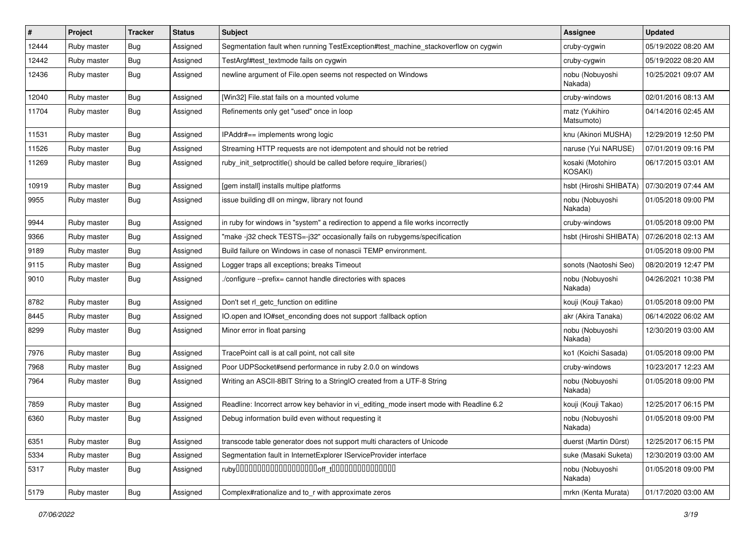| $\vert$ # | Project     | <b>Tracker</b> | <b>Status</b> | Subject                                                                                 | <b>Assignee</b>                    | <b>Updated</b>      |
|-----------|-------------|----------------|---------------|-----------------------------------------------------------------------------------------|------------------------------------|---------------------|
| 12444     | Ruby master | Bug            | Assigned      | Segmentation fault when running TestException#test_machine_stackoverflow on cygwin      | cruby-cygwin                       | 05/19/2022 08:20 AM |
| 12442     | Ruby master | Bug            | Assigned      | TestArgf#test_textmode fails on cygwin                                                  | cruby-cygwin                       | 05/19/2022 08:20 AM |
| 12436     | Ruby master | Bug            | Assigned      | newline argument of File.open seems not respected on Windows                            | nobu (Nobuyoshi<br>Nakada)         | 10/25/2021 09:07 AM |
| 12040     | Ruby master | Bug            | Assigned      | [Win32] File.stat fails on a mounted volume                                             | cruby-windows                      | 02/01/2016 08:13 AM |
| 11704     | Ruby master | Bug            | Assigned      | Refinements only get "used" once in loop                                                | matz (Yukihiro<br>Matsumoto)       | 04/14/2016 02:45 AM |
| 11531     | Ruby master | Bug            | Assigned      | IPAddr#== implements wrong logic                                                        | knu (Akinori MUSHA)                | 12/29/2019 12:50 PM |
| 11526     | Ruby master | Bug            | Assigned      | Streaming HTTP requests are not idempotent and should not be retried                    | naruse (Yui NARUSE)                | 07/01/2019 09:16 PM |
| 11269     | Ruby master | Bug            | Assigned      | ruby_init_setproctitle() should be called before require_libraries()                    | kosaki (Motohiro<br><b>KOSAKI)</b> | 06/17/2015 03:01 AM |
| 10919     | Ruby master | Bug            | Assigned      | [gem install] installs multipe platforms                                                | hsbt (Hiroshi SHIBATA)             | 07/30/2019 07:44 AM |
| 9955      | Ruby master | Bug            | Assigned      | issue building dll on mingw, library not found                                          | nobu (Nobuyoshi<br>Nakada)         | 01/05/2018 09:00 PM |
| 9944      | Ruby master | Bug            | Assigned      | in ruby for windows in "system" a redirection to append a file works incorrectly        | cruby-windows                      | 01/05/2018 09:00 PM |
| 9366      | Ruby master | Bug            | Assigned      | "make-j32 check TESTS=-j32" occasionally fails on rubygems/specification                | hsbt (Hiroshi SHIBATA)             | 07/26/2018 02:13 AM |
| 9189      | Ruby master | Bug            | Assigned      | Build failure on Windows in case of nonascii TEMP environment.                          |                                    | 01/05/2018 09:00 PM |
| 9115      | Ruby master | <b>Bug</b>     | Assigned      | Logger traps all exceptions; breaks Timeout                                             | sonots (Naotoshi Seo)              | 08/20/2019 12:47 PM |
| 9010      | Ruby master | Bug            | Assigned      | /configure --prefix= cannot handle directories with spaces                              | nobu (Nobuyoshi<br>Nakada)         | 04/26/2021 10:38 PM |
| 8782      | Ruby master | Bug            | Assigned      | Don't set rl_getc_function on editline                                                  | kouji (Kouji Takao)                | 01/05/2018 09:00 PM |
| 8445      | Ruby master | <b>Bug</b>     | Assigned      | IO.open and IO#set_enconding does not support :fallback option                          | akr (Akira Tanaka)                 | 06/14/2022 06:02 AM |
| 8299      | Ruby master | Bug            | Assigned      | Minor error in float parsing                                                            | nobu (Nobuyoshi<br>Nakada)         | 12/30/2019 03:00 AM |
| 7976      | Ruby master | Bug            | Assigned      | TracePoint call is at call point, not call site                                         | ko1 (Koichi Sasada)                | 01/05/2018 09:00 PM |
| 7968      | Ruby master | Bug            | Assigned      | Poor UDPSocket#send performance in ruby 2.0.0 on windows                                | cruby-windows                      | 10/23/2017 12:23 AM |
| 7964      | Ruby master | Bug            | Assigned      | Writing an ASCII-8BIT String to a StringIO created from a UTF-8 String                  | nobu (Nobuyoshi<br>Nakada)         | 01/05/2018 09:00 PM |
| 7859      | Ruby master | Bug            | Assigned      | Readline: Incorrect arrow key behavior in vi editing mode insert mode with Readline 6.2 | kouji (Kouji Takao)                | 12/25/2017 06:15 PM |
| 6360      | Ruby master | <b>Bug</b>     | Assigned      | Debug information build even without requesting it                                      | nobu (Nobuyoshi<br>Nakada)         | 01/05/2018 09:00 PM |
| 6351      | Ruby master | Bug            | Assigned      | transcode table generator does not support multi characters of Unicode                  | duerst (Martin Dürst)              | 12/25/2017 06:15 PM |
| 5334      | Ruby master | <b>Bug</b>     | Assigned      | Segmentation fault in InternetExplorer IServiceProvider interface                       | suke (Masaki Suketa)               | 12/30/2019 03:00 AM |
| 5317      | Ruby master | Bug            | Assigned      |                                                                                         | nobu (Nobuyoshi<br>Nakada)         | 01/05/2018 09:00 PM |
| 5179      | Ruby master | <b>Bug</b>     | Assigned      | Complex#rationalize and to r with approximate zeros                                     | mrkn (Kenta Murata)                | 01/17/2020 03:00 AM |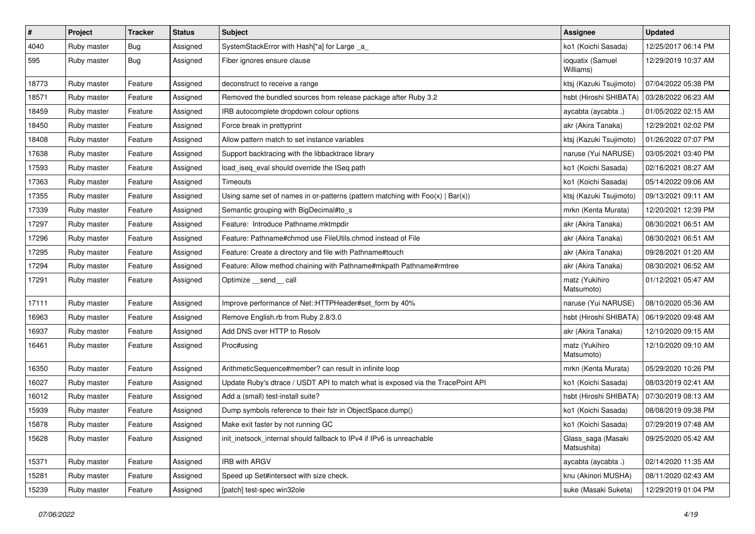| $\vert$ # | Project     | <b>Tracker</b> | <b>Status</b> | <b>Subject</b>                                                                    | <b>Assignee</b>                   | <b>Updated</b>      |
|-----------|-------------|----------------|---------------|-----------------------------------------------------------------------------------|-----------------------------------|---------------------|
| 4040      | Ruby master | Bug            | Assigned      | SystemStackError with Hash[*a] for Large _a_                                      | ko1 (Koichi Sasada)               | 12/25/2017 06:14 PM |
| 595       | Ruby master | <b>Bug</b>     | Assigned      | Fiber ignores ensure clause                                                       | ioquatix (Samuel<br>Williams)     | 12/29/2019 10:37 AM |
| 18773     | Ruby master | Feature        | Assigned      | deconstruct to receive a range                                                    | ktsj (Kazuki Tsujimoto)           | 07/04/2022 05:38 PM |
| 18571     | Ruby master | Feature        | Assigned      | Removed the bundled sources from release package after Ruby 3.2                   | hsbt (Hiroshi SHIBATA)            | 03/28/2022 06:23 AM |
| 18459     | Ruby master | Feature        | Assigned      | IRB autocomplete dropdown colour options                                          | aycabta (aycabta .)               | 01/05/2022 02:15 AM |
| 18450     | Ruby master | Feature        | Assigned      | Force break in prettyprint                                                        | akr (Akira Tanaka)                | 12/29/2021 02:02 PM |
| 18408     | Ruby master | Feature        | Assigned      | Allow pattern match to set instance variables                                     | ktsj (Kazuki Tsujimoto)           | 01/26/2022 07:07 PM |
| 17638     | Ruby master | Feature        | Assigned      | Support backtracing with the libbacktrace library                                 | naruse (Yui NARUSE)               | 03/05/2021 03:40 PM |
| 17593     | Ruby master | Feature        | Assigned      | load_iseq_eval should override the ISeq path                                      | ko1 (Koichi Sasada)               | 02/16/2021 08:27 AM |
| 17363     | Ruby master | Feature        | Assigned      | Timeouts                                                                          | ko1 (Koichi Sasada)               | 05/14/2022 09:06 AM |
| 17355     | Ruby master | Feature        | Assigned      | Using same set of names in or-patterns (pattern matching with $Foo(x)   Bar(x)$ ) | ktsj (Kazuki Tsujimoto)           | 09/13/2021 09:11 AM |
| 17339     | Ruby master | Feature        | Assigned      | Semantic grouping with BigDecimal#to_s                                            | mrkn (Kenta Murata)               | 12/20/2021 12:39 PM |
| 17297     | Ruby master | Feature        | Assigned      | Feature: Introduce Pathname.mktmpdir                                              | akr (Akira Tanaka)                | 08/30/2021 06:51 AM |
| 17296     | Ruby master | Feature        | Assigned      | Feature: Pathname#chmod use FileUtils.chmod instead of File                       | akr (Akira Tanaka)                | 08/30/2021 06:51 AM |
| 17295     | Ruby master | Feature        | Assigned      | Feature: Create a directory and file with Pathname#touch                          | akr (Akira Tanaka)                | 09/28/2021 01:20 AM |
| 17294     | Ruby master | Feature        | Assigned      | Feature: Allow method chaining with Pathname#mkpath Pathname#rmtree               | akr (Akira Tanaka)                | 08/30/2021 06:52 AM |
| 17291     | Ruby master | Feature        | Assigned      | Optimize __send__ call                                                            | matz (Yukihiro<br>Matsumoto)      | 01/12/2021 05:47 AM |
| 17111     | Ruby master | Feature        | Assigned      | Improve performance of Net::HTTPHeader#set_form by 40%                            | naruse (Yui NARUSE)               | 08/10/2020 05:36 AM |
| 16963     | Ruby master | Feature        | Assigned      | Remove English.rb from Ruby 2.8/3.0                                               | hsbt (Hiroshi SHIBATA)            | 06/19/2020 09:48 AM |
| 16937     | Ruby master | Feature        | Assigned      | Add DNS over HTTP to Resolv                                                       | akr (Akira Tanaka)                | 12/10/2020 09:15 AM |
| 16461     | Ruby master | Feature        | Assigned      | Proc#using                                                                        | matz (Yukihiro<br>Matsumoto)      | 12/10/2020 09:10 AM |
| 16350     | Ruby master | Feature        | Assigned      | ArithmeticSequence#member? can result in infinite loop                            | mrkn (Kenta Murata)               | 05/29/2020 10:26 PM |
| 16027     | Ruby master | Feature        | Assigned      | Update Ruby's dtrace / USDT API to match what is exposed via the TracePoint API   | ko1 (Koichi Sasada)               | 08/03/2019 02:41 AM |
| 16012     | Ruby master | Feature        | Assigned      | Add a (small) test-install suite?                                                 | hsbt (Hiroshi SHIBATA)            | 07/30/2019 08:13 AM |
| 15939     | Ruby master | Feature        | Assigned      | Dump symbols reference to their fstr in ObjectSpace.dump()                        | ko1 (Koichi Sasada)               | 08/08/2019 09:38 PM |
| 15878     | Ruby master | Feature        | Assigned      | Make exit faster by not running GC                                                | ko1 (Koichi Sasada)               | 07/29/2019 07:48 AM |
| 15628     | Ruby master | Feature        | Assigned      | init inetsock internal should fallback to IPv4 if IPv6 is unreachable             | Glass_saga (Masaki<br>Matsushita) | 09/25/2020 05:42 AM |
| 15371     | Ruby master | Feature        | Assigned      | IRB with ARGV                                                                     | aycabta (aycabta .)               | 02/14/2020 11:35 AM |
| 15281     | Ruby master | Feature        | Assigned      | Speed up Set#intersect with size check.                                           | knu (Akinori MUSHA)               | 08/11/2020 02:43 AM |
| 15239     | Ruby master | Feature        | Assigned      | [patch] test-spec win32ole                                                        | suke (Masaki Suketa)              | 12/29/2019 01:04 PM |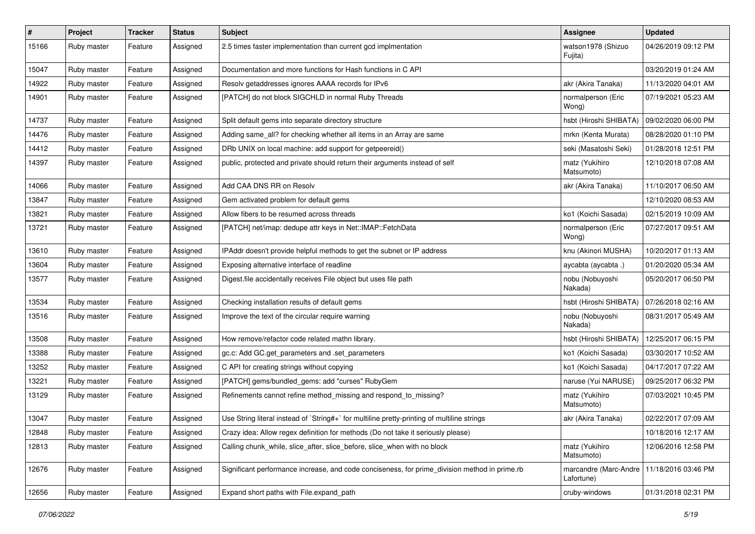| $\pmb{\#}$ | Project     | <b>Tracker</b> | <b>Status</b> | <b>Subject</b>                                                                                | <b>Assignee</b>                     | <b>Updated</b>      |
|------------|-------------|----------------|---------------|-----------------------------------------------------------------------------------------------|-------------------------------------|---------------------|
| 15166      | Ruby master | Feature        | Assigned      | 2.5 times faster implementation than current gcd implmentation                                | watson1978 (Shizuo<br>Fujita)       | 04/26/2019 09:12 PM |
| 15047      | Ruby master | Feature        | Assigned      | Documentation and more functions for Hash functions in C API                                  |                                     | 03/20/2019 01:24 AM |
| 14922      | Ruby master | Feature        | Assigned      | Resolv getaddresses ignores AAAA records for IPv6                                             | akr (Akira Tanaka)                  | 11/13/2020 04:01 AM |
| 14901      | Ruby master | Feature        | Assigned      | [PATCH] do not block SIGCHLD in normal Ruby Threads                                           | normalperson (Eric<br>Wong)         | 07/19/2021 05:23 AM |
| 14737      | Ruby master | Feature        | Assigned      | Split default gems into separate directory structure                                          | hsbt (Hiroshi SHIBATA)              | 09/02/2020 06:00 PM |
| 14476      | Ruby master | Feature        | Assigned      | Adding same_all? for checking whether all items in an Array are same                          | mrkn (Kenta Murata)                 | 08/28/2020 01:10 PM |
| 14412      | Ruby master | Feature        | Assigned      | DRb UNIX on local machine: add support for getpeereid()                                       | seki (Masatoshi Seki)               | 01/28/2018 12:51 PM |
| 14397      | Ruby master | Feature        | Assigned      | public, protected and private should return their arguments instead of self                   | matz (Yukihiro<br>Matsumoto)        | 12/10/2018 07:08 AM |
| 14066      | Ruby master | Feature        | Assigned      | Add CAA DNS RR on Resolv                                                                      | akr (Akira Tanaka)                  | 11/10/2017 06:50 AM |
| 13847      | Ruby master | Feature        | Assigned      | Gem activated problem for default gems                                                        |                                     | 12/10/2020 08:53 AM |
| 13821      | Ruby master | Feature        | Assigned      | Allow fibers to be resumed across threads                                                     | ko1 (Koichi Sasada)                 | 02/15/2019 10:09 AM |
| 13721      | Ruby master | Feature        | Assigned      | [PATCH] net/imap: dedupe attr keys in Net::IMAP::FetchData                                    | normalperson (Eric<br>Wong)         | 07/27/2017 09:51 AM |
| 13610      | Ruby master | Feature        | Assigned      | IPAddr doesn't provide helpful methods to get the subnet or IP address                        | knu (Akinori MUSHA)                 | 10/20/2017 01:13 AM |
| 13604      | Ruby master | Feature        | Assigned      | Exposing alternative interface of readline                                                    | aycabta (aycabta .)                 | 01/20/2020 05:34 AM |
| 13577      | Ruby master | Feature        | Assigned      | Digest file accidentally receives File object but uses file path                              | nobu (Nobuyoshi<br>Nakada)          | 05/20/2017 06:50 PM |
| 13534      | Ruby master | Feature        | Assigned      | Checking installation results of default gems                                                 | hsbt (Hiroshi SHIBATA)              | 07/26/2018 02:16 AM |
| 13516      | Ruby master | Feature        | Assigned      | Improve the text of the circular require warning                                              | nobu (Nobuyoshi<br>Nakada)          | 08/31/2017 05:49 AM |
| 13508      | Ruby master | Feature        | Assigned      | How remove/refactor code related mathn library.                                               | hsbt (Hiroshi SHIBATA)              | 12/25/2017 06:15 PM |
| 13388      | Ruby master | Feature        | Assigned      | gc.c: Add GC.get_parameters and .set_parameters                                               | ko1 (Koichi Sasada)                 | 03/30/2017 10:52 AM |
| 13252      | Ruby master | Feature        | Assigned      | C API for creating strings without copying                                                    | ko1 (Koichi Sasada)                 | 04/17/2017 07:22 AM |
| 13221      | Ruby master | Feature        | Assigned      | [PATCH] gems/bundled_gems: add "curses" RubyGem                                               | naruse (Yui NARUSE)                 | 09/25/2017 06:32 PM |
| 13129      | Ruby master | Feature        | Assigned      | Refinements cannot refine method_missing and respond_to_missing?                              | matz (Yukihiro<br>Matsumoto)        | 07/03/2021 10:45 PM |
| 13047      | Ruby master | Feature        | Assigned      | Use String literal instead of `String#+` for multiline pretty-printing of multiline strings   | akr (Akira Tanaka)                  | 02/22/2017 07:09 AM |
| 12848      | Ruby master | Feature        | Assigned      | Crazy idea: Allow regex definition for methods (Do not take it seriously please)              |                                     | 10/18/2016 12:17 AM |
| 12813      | Ruby master | Feature        | Assigned      | Calling chunk_while, slice_after, slice_before, slice_when with no block                      | matz (Yukihiro<br>Matsumoto)        | 12/06/2016 12:58 PM |
| 12676      | Ruby master | Feature        | Assigned      | Significant performance increase, and code conciseness, for prime_division method in prime.rb | marcandre (Marc-Andre<br>Lafortune) | 11/18/2016 03:46 PM |
| 12656      | Ruby master | Feature        | Assigned      | Expand short paths with File.expand_path                                                      | cruby-windows                       | 01/31/2018 02:31 PM |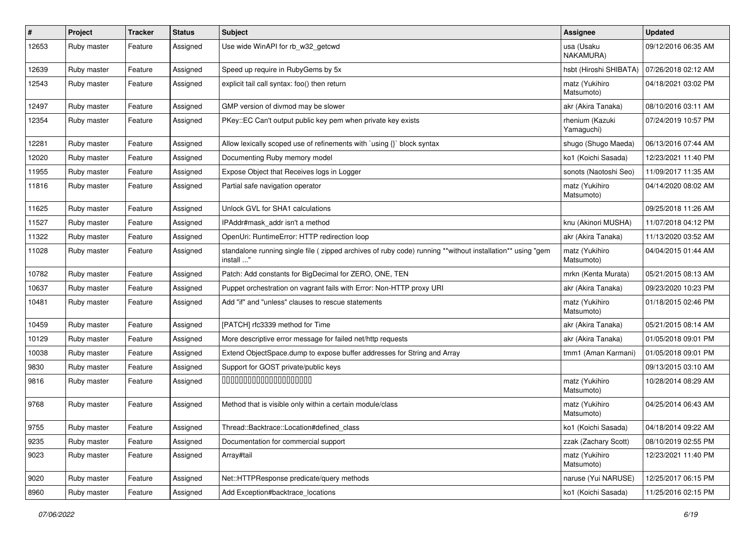| $\sharp$ | Project     | <b>Tracker</b> | <b>Status</b> | <b>Subject</b>                                                                                                          | Assignee                      | <b>Updated</b>      |
|----------|-------------|----------------|---------------|-------------------------------------------------------------------------------------------------------------------------|-------------------------------|---------------------|
| 12653    | Ruby master | Feature        | Assigned      | Use wide WinAPI for rb_w32_getcwd                                                                                       | usa (Usaku<br>NAKAMURA)       | 09/12/2016 06:35 AM |
| 12639    | Ruby master | Feature        | Assigned      | Speed up require in RubyGems by 5x                                                                                      | hsbt (Hiroshi SHIBATA)        | 07/26/2018 02:12 AM |
| 12543    | Ruby master | Feature        | Assigned      | explicit tail call syntax: foo() then return                                                                            | matz (Yukihiro<br>Matsumoto)  | 04/18/2021 03:02 PM |
| 12497    | Ruby master | Feature        | Assigned      | GMP version of divmod may be slower                                                                                     | akr (Akira Tanaka)            | 08/10/2016 03:11 AM |
| 12354    | Ruby master | Feature        | Assigned      | PKey::EC Can't output public key pem when private key exists                                                            | rhenium (Kazuki<br>Yamaguchi) | 07/24/2019 10:57 PM |
| 12281    | Ruby master | Feature        | Assigned      | Allow lexically scoped use of refinements with `using {}` block syntax                                                  | shugo (Shugo Maeda)           | 06/13/2016 07:44 AM |
| 12020    | Ruby master | Feature        | Assigned      | Documenting Ruby memory model                                                                                           | ko1 (Koichi Sasada)           | 12/23/2021 11:40 PM |
| 11955    | Ruby master | Feature        | Assigned      | Expose Object that Receives logs in Logger                                                                              | sonots (Naotoshi Seo)         | 11/09/2017 11:35 AM |
| 11816    | Ruby master | Feature        | Assigned      | Partial safe navigation operator                                                                                        | matz (Yukihiro<br>Matsumoto)  | 04/14/2020 08:02 AM |
| 11625    | Ruby master | Feature        | Assigned      | Unlock GVL for SHA1 calculations                                                                                        |                               | 09/25/2018 11:26 AM |
| 11527    | Ruby master | Feature        | Assigned      | IPAddr#mask addr isn't a method                                                                                         | knu (Akinori MUSHA)           | 11/07/2018 04:12 PM |
| 11322    | Ruby master | Feature        | Assigned      | OpenUri: RuntimeError: HTTP redirection loop                                                                            | akr (Akira Tanaka)            | 11/13/2020 03:52 AM |
| 11028    | Ruby master | Feature        | Assigned      | standalone running single file ( zipped archives of ruby code) running **without installation** using "gem<br>install " | matz (Yukihiro<br>Matsumoto)  | 04/04/2015 01:44 AM |
| 10782    | Ruby master | Feature        | Assigned      | Patch: Add constants for BigDecimal for ZERO, ONE, TEN                                                                  | mrkn (Kenta Murata)           | 05/21/2015 08:13 AM |
| 10637    | Ruby master | Feature        | Assigned      | Puppet orchestration on vagrant fails with Error: Non-HTTP proxy URI                                                    | akr (Akira Tanaka)            | 09/23/2020 10:23 PM |
| 10481    | Ruby master | Feature        | Assigned      | Add "if" and "unless" clauses to rescue statements                                                                      | matz (Yukihiro<br>Matsumoto)  | 01/18/2015 02:46 PM |
| 10459    | Ruby master | Feature        | Assigned      | [PATCH] rfc3339 method for Time                                                                                         | akr (Akira Tanaka)            | 05/21/2015 08:14 AM |
| 10129    | Ruby master | Feature        | Assigned      | More descriptive error message for failed net/http requests                                                             | akr (Akira Tanaka)            | 01/05/2018 09:01 PM |
| 10038    | Ruby master | Feature        | Assigned      | Extend ObjectSpace.dump to expose buffer addresses for String and Array                                                 | tmm1 (Aman Karmani)           | 01/05/2018 09:01 PM |
| 9830     | Ruby master | Feature        | Assigned      | Support for GOST private/public keys                                                                                    |                               | 09/13/2015 03:10 AM |
| 9816     | Ruby master | Feature        | Assigned      | 00000000000000000000                                                                                                    | matz (Yukihiro<br>Matsumoto)  | 10/28/2014 08:29 AM |
| 9768     | Ruby master | Feature        | Assigned      | Method that is visible only within a certain module/class                                                               | matz (Yukihiro<br>Matsumoto)  | 04/25/2014 06:43 AM |
| 9755     | Ruby master | Feature        | Assigned      | Thread::Backtrace::Location#defined_class                                                                               | ko1 (Koichi Sasada)           | 04/18/2014 09:22 AM |
| 9235     | Ruby master | Feature        | Assigned      | Documentation for commercial support                                                                                    | zzak (Zachary Scott)          | 08/10/2019 02:55 PM |
| 9023     | Ruby master | Feature        | Assigned      | Array#tail                                                                                                              | matz (Yukihiro<br>Matsumoto)  | 12/23/2021 11:40 PM |
| 9020     | Ruby master | Feature        | Assigned      | Net::HTTPResponse predicate/query methods                                                                               | naruse (Yui NARUSE)           | 12/25/2017 06:15 PM |
| 8960     | Ruby master | Feature        | Assigned      | Add Exception#backtrace_locations                                                                                       | ko1 (Koichi Sasada)           | 11/25/2016 02:15 PM |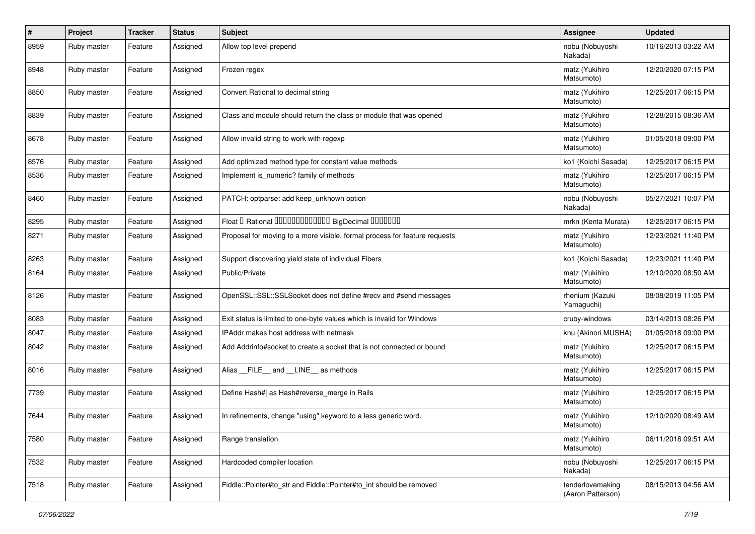| $\pmb{\#}$ | Project     | <b>Tracker</b> | <b>Status</b> | <b>Subject</b>                                                             | <b>Assignee</b>                       | <b>Updated</b>      |
|------------|-------------|----------------|---------------|----------------------------------------------------------------------------|---------------------------------------|---------------------|
| 8959       | Ruby master | Feature        | Assigned      | Allow top level prepend                                                    | nobu (Nobuyoshi<br>Nakada)            | 10/16/2013 03:22 AM |
| 8948       | Ruby master | Feature        | Assigned      | Frozen regex                                                               | matz (Yukihiro<br>Matsumoto)          | 12/20/2020 07:15 PM |
| 8850       | Ruby master | Feature        | Assigned      | Convert Rational to decimal string                                         | matz (Yukihiro<br>Matsumoto)          | 12/25/2017 06:15 PM |
| 8839       | Ruby master | Feature        | Assigned      | Class and module should return the class or module that was opened         | matz (Yukihiro<br>Matsumoto)          | 12/28/2015 08:36 AM |
| 8678       | Ruby master | Feature        | Assigned      | Allow invalid string to work with regexp                                   | matz (Yukihiro<br>Matsumoto)          | 01/05/2018 09:00 PM |
| 8576       | Ruby master | Feature        | Assigned      | Add optimized method type for constant value methods                       | ko1 (Koichi Sasada)                   | 12/25/2017 06:15 PM |
| 8536       | Ruby master | Feature        | Assigned      | Implement is numeric? family of methods                                    | matz (Yukihiro<br>Matsumoto)          | 12/25/2017 06:15 PM |
| 8460       | Ruby master | Feature        | Assigned      | PATCH: optparse: add keep unknown option                                   | nobu (Nobuyoshi<br>Nakada)            | 05/27/2021 10:07 PM |
| 8295       | Ruby master | Feature        | Assigned      | Float I Rational 0000000000000 BigDecimal 0000000                          | mrkn (Kenta Murata)                   | 12/25/2017 06:15 PM |
| 8271       | Ruby master | Feature        | Assigned      | Proposal for moving to a more visible, formal process for feature requests | matz (Yukihiro<br>Matsumoto)          | 12/23/2021 11:40 PM |
| 8263       | Ruby master | Feature        | Assigned      | Support discovering yield state of individual Fibers                       | ko1 (Koichi Sasada)                   | 12/23/2021 11:40 PM |
| 8164       | Ruby master | Feature        | Assigned      | Public/Private                                                             | matz (Yukihiro<br>Matsumoto)          | 12/10/2020 08:50 AM |
| 8126       | Ruby master | Feature        | Assigned      | OpenSSL::SSL::SSLSocket does not define #recv and #send messages           | rhenium (Kazuki<br>Yamaguchi)         | 08/08/2019 11:05 PM |
| 8083       | Ruby master | Feature        | Assigned      | Exit status is limited to one-byte values which is invalid for Windows     | cruby-windows                         | 03/14/2013 08:26 PM |
| 8047       | Ruby master | Feature        | Assigned      | IPAddr makes host address with netmask                                     | knu (Akinori MUSHA)                   | 01/05/2018 09:00 PM |
| 8042       | Ruby master | Feature        | Assigned      | Add Addrinfo#socket to create a socket that is not connected or bound      | matz (Yukihiro<br>Matsumoto)          | 12/25/2017 06:15 PM |
| 8016       | Ruby master | Feature        | Assigned      | Alias FILE and LINE as methods                                             | matz (Yukihiro<br>Matsumoto)          | 12/25/2017 06:15 PM |
| 7739       | Ruby master | Feature        | Assigned      | Define Hash#  as Hash#reverse_merge in Rails                               | matz (Yukihiro<br>Matsumoto)          | 12/25/2017 06:15 PM |
| 7644       | Ruby master | Feature        | Assigned      | In refinements, change "using" keyword to a less generic word.             | matz (Yukihiro<br>Matsumoto)          | 12/10/2020 08:49 AM |
| 7580       | Ruby master | Feature        | Assigned      | Range translation                                                          | matz (Yukihiro<br>Matsumoto)          | 06/11/2018 09:51 AM |
| 7532       | Ruby master | Feature        | Assigned      | Hardcoded compiler location                                                | nobu (Nobuyoshi<br>Nakada)            | 12/25/2017 06:15 PM |
| 7518       | Ruby master | Feature        | Assigned      | Fiddle::Pointer#to str and Fiddle::Pointer#to int should be removed        | tenderlovemaking<br>(Aaron Patterson) | 08/15/2013 04:56 AM |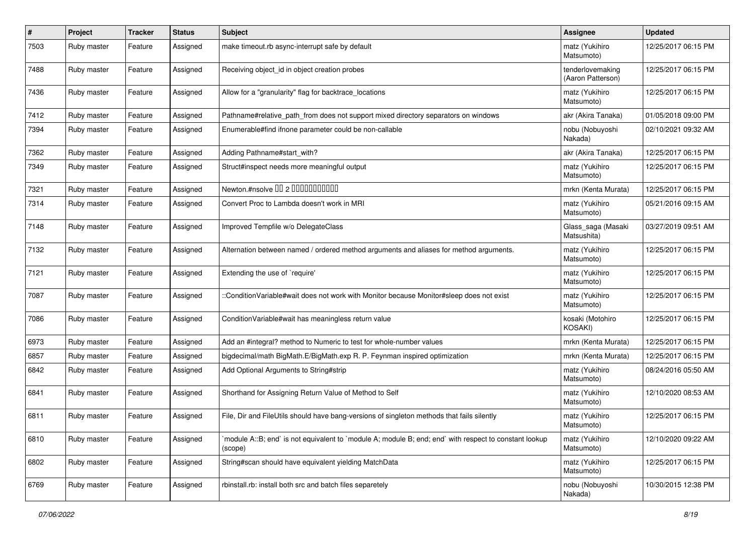| #    | Project     | <b>Tracker</b> | <b>Status</b> | Subject                                                                                                          | <b>Assignee</b>                       | <b>Updated</b>      |
|------|-------------|----------------|---------------|------------------------------------------------------------------------------------------------------------------|---------------------------------------|---------------------|
| 7503 | Ruby master | Feature        | Assigned      | make timeout.rb async-interrupt safe by default                                                                  | matz (Yukihiro<br>Matsumoto)          | 12/25/2017 06:15 PM |
| 7488 | Ruby master | Feature        | Assigned      | Receiving object_id in object creation probes                                                                    | tenderlovemaking<br>(Aaron Patterson) | 12/25/2017 06:15 PM |
| 7436 | Ruby master | Feature        | Assigned      | Allow for a "granularity" flag for backtrace_locations                                                           | matz (Yukihiro<br>Matsumoto)          | 12/25/2017 06:15 PM |
| 7412 | Ruby master | Feature        | Assigned      | Pathname#relative_path_from does not support mixed directory separators on windows                               | akr (Akira Tanaka)                    | 01/05/2018 09:00 PM |
| 7394 | Ruby master | Feature        | Assigned      | Enumerable#find ifnone parameter could be non-callable                                                           | nobu (Nobuyoshi<br>Nakada)            | 02/10/2021 09:32 AM |
| 7362 | Ruby master | Feature        | Assigned      | Adding Pathname#start_with?                                                                                      | akr (Akira Tanaka)                    | 12/25/2017 06:15 PM |
| 7349 | Ruby master | Feature        | Assigned      | Struct#inspect needs more meaningful output                                                                      | matz (Yukihiro<br>Matsumoto)          | 12/25/2017 06:15 PM |
| 7321 | Ruby master | Feature        | Assigned      | Newton.#nsolve 00 2 0000000000                                                                                   | mrkn (Kenta Murata)                   | 12/25/2017 06:15 PM |
| 7314 | Ruby master | Feature        | Assigned      | Convert Proc to Lambda doesn't work in MRI                                                                       | matz (Yukihiro<br>Matsumoto)          | 05/21/2016 09:15 AM |
| 7148 | Ruby master | Feature        | Assigned      | Improved Tempfile w/o DelegateClass                                                                              | Glass_saga (Masaki<br>Matsushita)     | 03/27/2019 09:51 AM |
| 7132 | Ruby master | Feature        | Assigned      | Alternation between named / ordered method arguments and aliases for method arguments.                           | matz (Yukihiro<br>Matsumoto)          | 12/25/2017 06:15 PM |
| 7121 | Ruby master | Feature        | Assigned      | Extending the use of `require'                                                                                   | matz (Yukihiro<br>Matsumoto)          | 12/25/2017 06:15 PM |
| 7087 | Ruby master | Feature        | Assigned      | :ConditionVariable#wait does not work with Monitor because Monitor#sleep does not exist                          | matz (Yukihiro<br>Matsumoto)          | 12/25/2017 06:15 PM |
| 7086 | Ruby master | Feature        | Assigned      | Condition Variable#wait has meaningless return value                                                             | kosaki (Motohiro<br><b>KOSAKI)</b>    | 12/25/2017 06:15 PM |
| 6973 | Ruby master | Feature        | Assigned      | Add an #integral? method to Numeric to test for whole-number values                                              | mrkn (Kenta Murata)                   | 12/25/2017 06:15 PM |
| 6857 | Ruby master | Feature        | Assigned      | bigdecimal/math BigMath.E/BigMath.exp R. P. Feynman inspired optimization                                        | mrkn (Kenta Murata)                   | 12/25/2017 06:15 PM |
| 6842 | Ruby master | Feature        | Assigned      | Add Optional Arguments to String#strip                                                                           | matz (Yukihiro<br>Matsumoto)          | 08/24/2016 05:50 AM |
| 6841 | Ruby master | Feature        | Assigned      | Shorthand for Assigning Return Value of Method to Self                                                           | matz (Yukihiro<br>Matsumoto)          | 12/10/2020 08:53 AM |
| 6811 | Ruby master | Feature        | Assigned      | File, Dir and FileUtils should have bang-versions of singleton methods that fails silently                       | matz (Yukihiro<br>Matsumoto)          | 12/25/2017 06:15 PM |
| 6810 | Ruby master | Feature        | Assigned      | module A::B; end` is not equivalent to `module A; module B; end; end` with respect to constant lookup<br>(scope) | matz (Yukihiro<br>Matsumoto)          | 12/10/2020 09:22 AM |
| 6802 | Ruby master | Feature        | Assigned      | String#scan should have equivalent yielding MatchData                                                            | matz (Yukihiro<br>Matsumoto)          | 12/25/2017 06:15 PM |
| 6769 | Ruby master | Feature        | Assigned      | rbinstall.rb: install both src and batch files separetely                                                        | nobu (Nobuyoshi<br>Nakada)            | 10/30/2015 12:38 PM |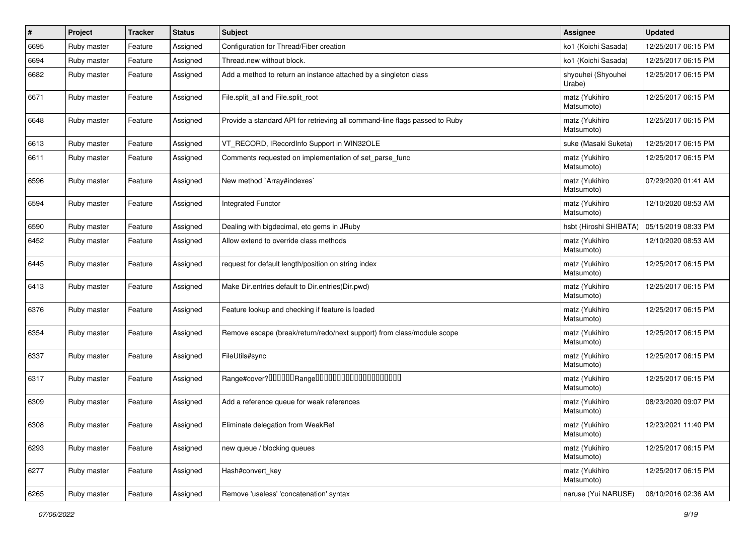| $\pmb{\#}$ | Project     | <b>Tracker</b> | <b>Status</b> | Subject                                                                     | <b>Assignee</b>              | <b>Updated</b>      |
|------------|-------------|----------------|---------------|-----------------------------------------------------------------------------|------------------------------|---------------------|
| 6695       | Ruby master | Feature        | Assigned      | Configuration for Thread/Fiber creation                                     | ko1 (Koichi Sasada)          | 12/25/2017 06:15 PM |
| 6694       | Ruby master | Feature        | Assigned      | Thread.new without block.                                                   | ko1 (Koichi Sasada)          | 12/25/2017 06:15 PM |
| 6682       | Ruby master | Feature        | Assigned      | Add a method to return an instance attached by a singleton class            | shyouhei (Shyouhei<br>Urabe) | 12/25/2017 06:15 PM |
| 6671       | Ruby master | Feature        | Assigned      | File.split_all and File.split_root                                          | matz (Yukihiro<br>Matsumoto) | 12/25/2017 06:15 PM |
| 6648       | Ruby master | Feature        | Assigned      | Provide a standard API for retrieving all command-line flags passed to Ruby | matz (Yukihiro<br>Matsumoto) | 12/25/2017 06:15 PM |
| 6613       | Ruby master | Feature        | Assigned      | VT_RECORD, IRecordInfo Support in WIN32OLE                                  | suke (Masaki Suketa)         | 12/25/2017 06:15 PM |
| 6611       | Ruby master | Feature        | Assigned      | Comments requested on implementation of set parse func                      | matz (Yukihiro<br>Matsumoto) | 12/25/2017 06:15 PM |
| 6596       | Ruby master | Feature        | Assigned      | New method `Array#indexes`                                                  | matz (Yukihiro<br>Matsumoto) | 07/29/2020 01:41 AM |
| 6594       | Ruby master | Feature        | Assigned      | <b>Integrated Functor</b>                                                   | matz (Yukihiro<br>Matsumoto) | 12/10/2020 08:53 AM |
| 6590       | Ruby master | Feature        | Assigned      | Dealing with bigdecimal, etc gems in JRuby                                  | hsbt (Hiroshi SHIBATA)       | 05/15/2019 08:33 PM |
| 6452       | Ruby master | Feature        | Assigned      | Allow extend to override class methods                                      | matz (Yukihiro<br>Matsumoto) | 12/10/2020 08:53 AM |
| 6445       | Ruby master | Feature        | Assigned      | request for default length/position on string index                         | matz (Yukihiro<br>Matsumoto) | 12/25/2017 06:15 PM |
| 6413       | Ruby master | Feature        | Assigned      | Make Dir.entries default to Dir.entries(Dir.pwd)                            | matz (Yukihiro<br>Matsumoto) | 12/25/2017 06:15 PM |
| 6376       | Ruby master | Feature        | Assigned      | Feature lookup and checking if feature is loaded                            | matz (Yukihiro<br>Matsumoto) | 12/25/2017 06:15 PM |
| 6354       | Ruby master | Feature        | Assigned      | Remove escape (break/return/redo/next support) from class/module scope      | matz (Yukihiro<br>Matsumoto) | 12/25/2017 06:15 PM |
| 6337       | Ruby master | Feature        | Assigned      | FileUtils#sync                                                              | matz (Yukihiro<br>Matsumoto) | 12/25/2017 06:15 PM |
| 6317       | Ruby master | Feature        | Assigned      |                                                                             | matz (Yukihiro<br>Matsumoto) | 12/25/2017 06:15 PM |
| 6309       | Ruby master | Feature        | Assigned      | Add a reference queue for weak references                                   | matz (Yukihiro<br>Matsumoto) | 08/23/2020 09:07 PM |
| 6308       | Ruby master | Feature        | Assigned      | Eliminate delegation from WeakRef                                           | matz (Yukihiro<br>Matsumoto) | 12/23/2021 11:40 PM |
| 6293       | Ruby master | Feature        | Assigned      | new queue / blocking queues                                                 | matz (Yukihiro<br>Matsumoto) | 12/25/2017 06:15 PM |
| 6277       | Ruby master | Feature        | Assigned      | Hash#convert_key                                                            | matz (Yukihiro<br>Matsumoto) | 12/25/2017 06:15 PM |
| 6265       | Ruby master | Feature        | Assigned      | Remove 'useless' 'concatenation' syntax                                     | naruse (Yui NARUSE)          | 08/10/2016 02:36 AM |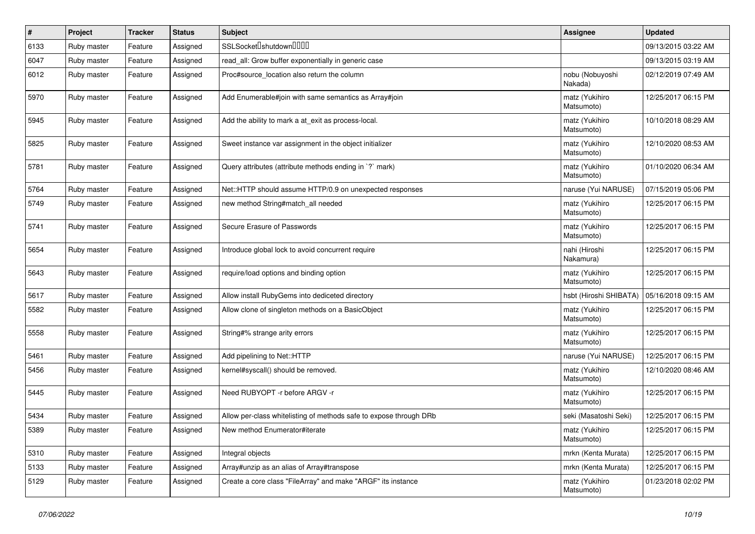| #    | Project     | <b>Tracker</b> | <b>Status</b> | Subject                                                            | <b>Assignee</b>              | <b>Updated</b>      |
|------|-------------|----------------|---------------|--------------------------------------------------------------------|------------------------------|---------------------|
| 6133 | Ruby master | Feature        | Assigned      | SSLSocketlshutdownlllllll                                          |                              | 09/13/2015 03:22 AM |
| 6047 | Ruby master | Feature        | Assigned      | read_all: Grow buffer exponentially in generic case                |                              | 09/13/2015 03:19 AM |
| 6012 | Ruby master | Feature        | Assigned      | Proc#source location also return the column                        | nobu (Nobuyoshi<br>Nakada)   | 02/12/2019 07:49 AM |
| 5970 | Ruby master | Feature        | Assigned      | Add Enumerable#join with same semantics as Array#join              | matz (Yukihiro<br>Matsumoto) | 12/25/2017 06:15 PM |
| 5945 | Ruby master | Feature        | Assigned      | Add the ability to mark a at_exit as process-local.                | matz (Yukihiro<br>Matsumoto) | 10/10/2018 08:29 AM |
| 5825 | Ruby master | Feature        | Assigned      | Sweet instance var assignment in the object initializer            | matz (Yukihiro<br>Matsumoto) | 12/10/2020 08:53 AM |
| 5781 | Ruby master | Feature        | Assigned      | Query attributes (attribute methods ending in `?` mark)            | matz (Yukihiro<br>Matsumoto) | 01/10/2020 06:34 AM |
| 5764 | Ruby master | Feature        | Assigned      | Net::HTTP should assume HTTP/0.9 on unexpected responses           | naruse (Yui NARUSE)          | 07/15/2019 05:06 PM |
| 5749 | Ruby master | Feature        | Assigned      | new method String#match_all needed                                 | matz (Yukihiro<br>Matsumoto) | 12/25/2017 06:15 PM |
| 5741 | Ruby master | Feature        | Assigned      | Secure Erasure of Passwords                                        | matz (Yukihiro<br>Matsumoto) | 12/25/2017 06:15 PM |
| 5654 | Ruby master | Feature        | Assigned      | Introduce global lock to avoid concurrent require                  | nahi (Hiroshi<br>Nakamura)   | 12/25/2017 06:15 PM |
| 5643 | Ruby master | Feature        | Assigned      | require/load options and binding option                            | matz (Yukihiro<br>Matsumoto) | 12/25/2017 06:15 PM |
| 5617 | Ruby master | Feature        | Assigned      | Allow install RubyGems into dediceted directory                    | hsbt (Hiroshi SHIBATA)       | 05/16/2018 09:15 AM |
| 5582 | Ruby master | Feature        | Assigned      | Allow clone of singleton methods on a BasicObject                  | matz (Yukihiro<br>Matsumoto) | 12/25/2017 06:15 PM |
| 5558 | Ruby master | Feature        | Assigned      | String#% strange arity errors                                      | matz (Yukihiro<br>Matsumoto) | 12/25/2017 06:15 PM |
| 5461 | Ruby master | Feature        | Assigned      | Add pipelining to Net::HTTP                                        | naruse (Yui NARUSE)          | 12/25/2017 06:15 PM |
| 5456 | Ruby master | Feature        | Assigned      | kernel#syscall() should be removed.                                | matz (Yukihiro<br>Matsumoto) | 12/10/2020 08:46 AM |
| 5445 | Ruby master | Feature        | Assigned      | Need RUBYOPT -r before ARGV -r                                     | matz (Yukihiro<br>Matsumoto) | 12/25/2017 06:15 PM |
| 5434 | Ruby master | Feature        | Assigned      | Allow per-class whitelisting of methods safe to expose through DRb | seki (Masatoshi Seki)        | 12/25/2017 06:15 PM |
| 5389 | Ruby master | Feature        | Assigned      | New method Enumerator#iterate                                      | matz (Yukihiro<br>Matsumoto) | 12/25/2017 06:15 PM |
| 5310 | Ruby master | Feature        | Assigned      | Integral objects                                                   | mrkn (Kenta Murata)          | 12/25/2017 06:15 PM |
| 5133 | Ruby master | Feature        | Assigned      | Array#unzip as an alias of Array#transpose                         | mrkn (Kenta Murata)          | 12/25/2017 06:15 PM |
| 5129 | Ruby master | Feature        | Assigned      | Create a core class "FileArray" and make "ARGF" its instance       | matz (Yukihiro<br>Matsumoto) | 01/23/2018 02:02 PM |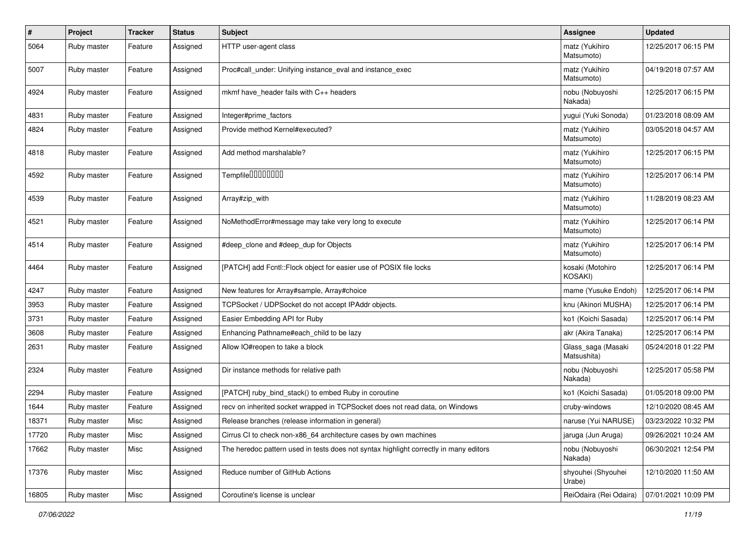| $\pmb{\#}$ | Project     | <b>Tracker</b> | <b>Status</b> | <b>Subject</b>                                                                        | <b>Assignee</b>                   | <b>Updated</b>      |
|------------|-------------|----------------|---------------|---------------------------------------------------------------------------------------|-----------------------------------|---------------------|
| 5064       | Ruby master | Feature        | Assigned      | HTTP user-agent class                                                                 | matz (Yukihiro<br>Matsumoto)      | 12/25/2017 06:15 PM |
| 5007       | Ruby master | Feature        | Assigned      | Proc#call_under: Unifying instance_eval and instance_exec                             | matz (Yukihiro<br>Matsumoto)      | 04/19/2018 07:57 AM |
| 4924       | Ruby master | Feature        | Assigned      | mkmf have header fails with C++ headers                                               | nobu (Nobuyoshi<br>Nakada)        | 12/25/2017 06:15 PM |
| 4831       | Ruby master | Feature        | Assigned      | Integer#prime_factors                                                                 | yugui (Yuki Sonoda)               | 01/23/2018 08:09 AM |
| 4824       | Ruby master | Feature        | Assigned      | Provide method Kernel#executed?                                                       | matz (Yukihiro<br>Matsumoto)      | 03/05/2018 04:57 AM |
| 4818       | Ruby master | Feature        | Assigned      | Add method marshalable?                                                               | matz (Yukihiro<br>Matsumoto)      | 12/25/2017 06:15 PM |
| 4592       | Ruby master | Feature        | Assigned      | Tempfile0000000                                                                       | matz (Yukihiro<br>Matsumoto)      | 12/25/2017 06:14 PM |
| 4539       | Ruby master | Feature        | Assigned      | Array#zip_with                                                                        | matz (Yukihiro<br>Matsumoto)      | 11/28/2019 08:23 AM |
| 4521       | Ruby master | Feature        | Assigned      | NoMethodError#message may take very long to execute                                   | matz (Yukihiro<br>Matsumoto)      | 12/25/2017 06:14 PM |
| 4514       | Ruby master | Feature        | Assigned      | #deep_clone and #deep_dup for Objects                                                 | matz (Yukihiro<br>Matsumoto)      | 12/25/2017 06:14 PM |
| 4464       | Ruby master | Feature        | Assigned      | [PATCH] add Fcntl::Flock object for easier use of POSIX file locks                    | kosaki (Motohiro<br>KOSAKI)       | 12/25/2017 06:14 PM |
| 4247       | Ruby master | Feature        | Assigned      | New features for Array#sample, Array#choice                                           | mame (Yusuke Endoh)               | 12/25/2017 06:14 PM |
| 3953       | Ruby master | Feature        | Assigned      | TCPSocket / UDPSocket do not accept IPAddr objects.                                   | knu (Akinori MUSHA)               | 12/25/2017 06:14 PM |
| 3731       | Ruby master | Feature        | Assigned      | Easier Embedding API for Ruby                                                         | ko1 (Koichi Sasada)               | 12/25/2017 06:14 PM |
| 3608       | Ruby master | Feature        | Assigned      | Enhancing Pathname#each_child to be lazy                                              | akr (Akira Tanaka)                | 12/25/2017 06:14 PM |
| 2631       | Ruby master | Feature        | Assigned      | Allow IO#reopen to take a block                                                       | Glass_saga (Masaki<br>Matsushita) | 05/24/2018 01:22 PM |
| 2324       | Ruby master | Feature        | Assigned      | Dir instance methods for relative path                                                | nobu (Nobuyoshi<br>Nakada)        | 12/25/2017 05:58 PM |
| 2294       | Ruby master | Feature        | Assigned      | [PATCH] ruby_bind_stack() to embed Ruby in coroutine                                  | ko1 (Koichi Sasada)               | 01/05/2018 09:00 PM |
| 1644       | Ruby master | Feature        | Assigned      | recv on inherited socket wrapped in TCPSocket does not read data, on Windows          | cruby-windows                     | 12/10/2020 08:45 AM |
| 18371      | Ruby master | Misc           | Assigned      | Release branches (release information in general)                                     | naruse (Yui NARUSE)               | 03/23/2022 10:32 PM |
| 17720      | Ruby master | Misc           | Assigned      | Cirrus CI to check non-x86_64 architecture cases by own machines                      | jaruga (Jun Aruga)                | 09/26/2021 10:24 AM |
| 17662      | Ruby master | Misc           | Assigned      | The heredoc pattern used in tests does not syntax highlight correctly in many editors | nobu (Nobuyoshi<br>Nakada)        | 06/30/2021 12:54 PM |
| 17376      | Ruby master | Misc           | Assigned      | Reduce number of GitHub Actions                                                       | shyouhei (Shyouhei<br>Urabe)      | 12/10/2020 11:50 AM |
| 16805      | Ruby master | Misc           | Assigned      | Coroutine's license is unclear                                                        | ReiOdaira (Rei Odaira)            | 07/01/2021 10:09 PM |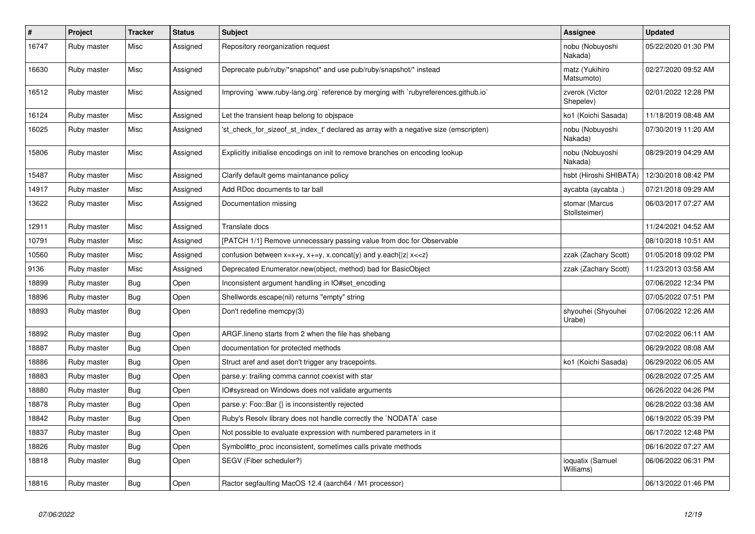| $\vert$ # | <b>Project</b> | <b>Tracker</b> | <b>Status</b> | <b>Subject</b>                                                                       | Assignee                        | <b>Updated</b>      |
|-----------|----------------|----------------|---------------|--------------------------------------------------------------------------------------|---------------------------------|---------------------|
| 16747     | Ruby master    | Misc           | Assigned      | Repository reorganization request                                                    | nobu (Nobuyoshi<br>Nakada)      | 05/22/2020 01:30 PM |
| 16630     | Ruby master    | Misc           | Assigned      | Deprecate pub/ruby/*snapshot* and use pub/ruby/snapshot/* instead                    | matz (Yukihiro<br>Matsumoto)    | 02/27/2020 09:52 AM |
| 16512     | Ruby master    | Misc           | Assigned      | Improving `www.ruby-lang.org` reference by merging with `rubyreferences.github.io`   | zverok (Victor<br>Shepelev)     | 02/01/2022 12:28 PM |
| 16124     | Ruby master    | Misc           | Assigned      | Let the transient heap belong to objspace                                            | ko1 (Koichi Sasada)             | 11/18/2019 08:48 AM |
| 16025     | Ruby master    | Misc           | Assigned      | 'st check for sizeof st index t' declared as array with a negative size (emscripten) | nobu (Nobuyoshi<br>Nakada)      | 07/30/2019 11:20 AM |
| 15806     | Ruby master    | Misc           | Assigned      | Explicitly initialise encodings on init to remove branches on encoding lookup        | nobu (Nobuyoshi<br>Nakada)      | 08/29/2019 04:29 AM |
| 15487     | Ruby master    | Misc           | Assigned      | Clarify default gems maintanance policy                                              | hsbt (Hiroshi SHIBATA)          | 12/30/2018 08:42 PM |
| 14917     | Ruby master    | Misc           | Assigned      | Add RDoc documents to tar ball                                                       | aycabta (aycabta)               | 07/21/2018 09:29 AM |
| 13622     | Ruby master    | Misc           | Assigned      | Documentation missing                                                                | stomar (Marcus<br>Stollsteimer) | 06/03/2017 07:27 AM |
| 12911     | Ruby master    | Misc           | Assigned      | Translate docs                                                                       |                                 | 11/24/2021 04:52 AM |
| 10791     | Ruby master    | Misc           | Assigned      | [PATCH 1/1] Remove unnecessary passing value from doc for Observable                 |                                 | 08/10/2018 10:51 AM |
| 10560     | Ruby master    | Misc           | Assigned      | confusion between $x=x+y$ , $x+=y$ , x.concat(y) and y.each{ z  $x<}$                | zzak (Zachary Scott)            | 01/05/2018 09:02 PM |
| 9136      | Ruby master    | Misc           | Assigned      | Deprecated Enumerator.new(object, method) bad for BasicObject                        | zzak (Zachary Scott)            | 11/23/2013 03:58 AM |
| 18899     | Ruby master    | <b>Bug</b>     | Open          | Inconsistent argument handling in IO#set encoding                                    |                                 | 07/06/2022 12:34 PM |
| 18896     | Ruby master    | Bug            | Open          | Shellwords.escape(nil) returns "empty" string                                        |                                 | 07/05/2022 07:51 PM |
| 18893     | Ruby master    | Bug            | Open          | Don't redefine memcpy(3)                                                             | shyouhei (Shyouhei<br>Urabe)    | 07/06/2022 12:26 AM |
| 18892     | Ruby master    | <b>Bug</b>     | Open          | ARGF lineno starts from 2 when the file has shebang                                  |                                 | 07/02/2022 06:11 AM |
| 18887     | Ruby master    | <b>Bug</b>     | Open          | documentation for protected methods                                                  |                                 | 06/29/2022 08:08 AM |
| 18886     | Ruby master    | Bug            | Open          | Struct aref and aset don't trigger any tracepoints.                                  | ko1 (Koichi Sasada)             | 06/29/2022 06:05 AM |
| 18883     | Ruby master    | <b>Bug</b>     | Open          | parse.y: trailing comma cannot coexist with star                                     |                                 | 06/28/2022 07:25 AM |
| 18880     | Ruby master    | Bug            | Open          | IO#sysread on Windows does not validate arguments                                    |                                 | 06/26/2022 04:26 PM |
| 18878     | Ruby master    | Bug            | Open          | parse.y: Foo::Bar {} is inconsistently rejected                                      |                                 | 06/28/2022 03:38 AM |
| 18842     | Ruby master    | Bug            | Open          | Ruby's Resolv library does not handle correctly the `NODATA` case                    |                                 | 06/19/2022 05:39 PM |
| 18837     | Ruby master    | Bug            | Open          | Not possible to evaluate expression with numbered parameters in it                   |                                 | 06/17/2022 12:48 PM |
| 18826     | Ruby master    | <b>Bug</b>     | Open          | Symbol#to_proc inconsistent, sometimes calls private methods                         |                                 | 06/16/2022 07:27 AM |
| 18818     | Ruby master    | Bug            | Open          | SEGV (Fiber scheduler?)                                                              | ioquatix (Samuel<br>Williams)   | 06/06/2022 06:31 PM |
| 18816     | Ruby master    | Bug            | Open          | Ractor segfaulting MacOS 12.4 (aarch64 / M1 processor)                               |                                 | 06/13/2022 01:46 PM |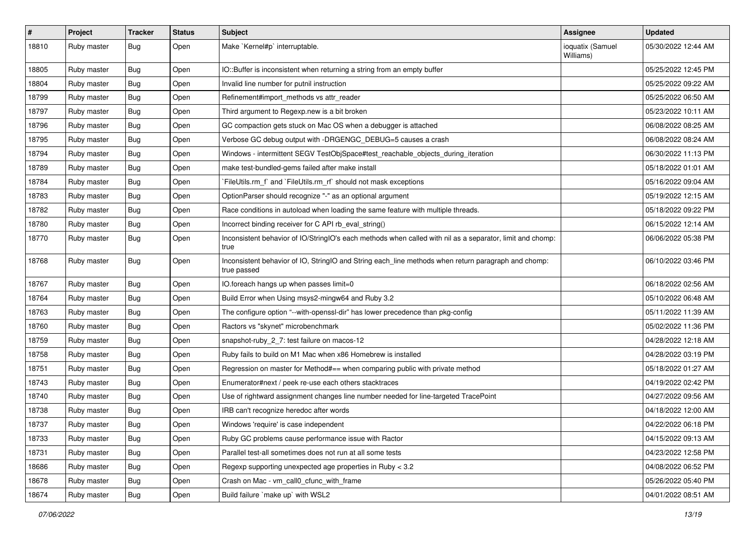| $\sharp$ | Project     | <b>Tracker</b> | <b>Status</b> | <b>Subject</b>                                                                                                     | Assignee                      | <b>Updated</b>      |
|----------|-------------|----------------|---------------|--------------------------------------------------------------------------------------------------------------------|-------------------------------|---------------------|
| 18810    | Ruby master | Bug            | Open          | Make `Kernel#p` interruptable.                                                                                     | ioquatix (Samuel<br>Williams) | 05/30/2022 12:44 AM |
| 18805    | Ruby master | Bug            | Open          | IO::Buffer is inconsistent when returning a string from an empty buffer                                            |                               | 05/25/2022 12:45 PM |
| 18804    | Ruby master | Bug            | Open          | Invalid line number for putnil instruction                                                                         |                               | 05/25/2022 09:22 AM |
| 18799    | Ruby master | Bug            | Open          | Refinement#import_methods vs attr_reader                                                                           |                               | 05/25/2022 06:50 AM |
| 18797    | Ruby master | Bug            | Open          | Third argument to Regexp.new is a bit broken                                                                       |                               | 05/23/2022 10:11 AM |
| 18796    | Ruby master | Bug            | Open          | GC compaction gets stuck on Mac OS when a debugger is attached                                                     |                               | 06/08/2022 08:25 AM |
| 18795    | Ruby master | Bug            | Open          | Verbose GC debug output with -DRGENGC_DEBUG=5 causes a crash                                                       |                               | 06/08/2022 08:24 AM |
| 18794    | Ruby master | Bug            | Open          | Windows - intermittent SEGV TestObjSpace#test_reachable_objects_during_iteration                                   |                               | 06/30/2022 11:13 PM |
| 18789    | Ruby master | Bug            | Open          | make test-bundled-gems failed after make install                                                                   |                               | 05/18/2022 01:01 AM |
| 18784    | Ruby master | Bug            | Open          | FileUtils.rm_f` and `FileUtils.rm_rf` should not mask exceptions                                                   |                               | 05/16/2022 09:04 AM |
| 18783    | Ruby master | Bug            | Open          | OptionParser should recognize "-" as an optional argument                                                          |                               | 05/19/2022 12:15 AM |
| 18782    | Ruby master | Bug            | Open          | Race conditions in autoload when loading the same feature with multiple threads.                                   |                               | 05/18/2022 09:22 PM |
| 18780    | Ruby master | Bug            | Open          | Incorrect binding receiver for C API rb_eval_string()                                                              |                               | 06/15/2022 12:14 AM |
| 18770    | Ruby master | Bug            | Open          | Inconsistent behavior of IO/StringIO's each methods when called with nil as a separator, limit and chomp:<br>true  |                               | 06/06/2022 05:38 PM |
| 18768    | Ruby master | Bug            | Open          | Inconsistent behavior of IO, StringIO and String each_line methods when return paragraph and chomp:<br>true passed |                               | 06/10/2022 03:46 PM |
| 18767    | Ruby master | Bug            | Open          | IO.foreach hangs up when passes limit=0                                                                            |                               | 06/18/2022 02:56 AM |
| 18764    | Ruby master | Bug            | Open          | Build Error when Using msys2-mingw64 and Ruby 3.2                                                                  |                               | 05/10/2022 06:48 AM |
| 18763    | Ruby master | Bug            | Open          | The configure option "--with-openssl-dir" has lower precedence than pkg-config                                     |                               | 05/11/2022 11:39 AM |
| 18760    | Ruby master | Bug            | Open          | Ractors vs "skynet" microbenchmark                                                                                 |                               | 05/02/2022 11:36 PM |
| 18759    | Ruby master | Bug            | Open          | snapshot-ruby_2_7: test failure on macos-12                                                                        |                               | 04/28/2022 12:18 AM |
| 18758    | Ruby master | Bug            | Open          | Ruby fails to build on M1 Mac when x86 Homebrew is installed                                                       |                               | 04/28/2022 03:19 PM |
| 18751    | Ruby master | Bug            | Open          | Regression on master for Method#== when comparing public with private method                                       |                               | 05/18/2022 01:27 AM |
| 18743    | Ruby master | Bug            | Open          | Enumerator#next / peek re-use each others stacktraces                                                              |                               | 04/19/2022 02:42 PM |
| 18740    | Ruby master | Bug            | Open          | Use of rightward assignment changes line number needed for line-targeted TracePoint                                |                               | 04/27/2022 09:56 AM |
| 18738    | Ruby master | Bug            | Open          | IRB can't recognize heredoc after words                                                                            |                               | 04/18/2022 12:00 AM |
| 18737    | Ruby master | Bug            | Open          | Windows 'require' is case independent                                                                              |                               | 04/22/2022 06:18 PM |
| 18733    | Ruby master | Bug            | Open          | Ruby GC problems cause performance issue with Ractor                                                               |                               | 04/15/2022 09:13 AM |
| 18731    | Ruby master | Bug            | Open          | Parallel test-all sometimes does not run at all some tests                                                         |                               | 04/23/2022 12:58 PM |
| 18686    | Ruby master | <b>Bug</b>     | Open          | Regexp supporting unexpected age properties in Ruby < 3.2                                                          |                               | 04/08/2022 06:52 PM |
| 18678    | Ruby master | Bug            | Open          | Crash on Mac - vm_call0_cfunc_with_frame                                                                           |                               | 05/26/2022 05:40 PM |
| 18674    | Ruby master | Bug            | Open          | Build failure `make up` with WSL2                                                                                  |                               | 04/01/2022 08:51 AM |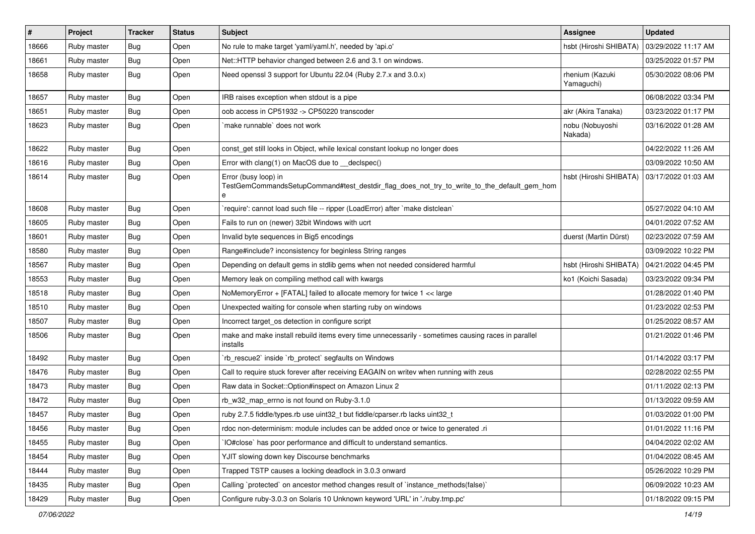| $\vert$ # | Project     | <b>Tracker</b> | <b>Status</b> | <b>Subject</b>                                                                                                          | Assignee                      | <b>Updated</b>      |
|-----------|-------------|----------------|---------------|-------------------------------------------------------------------------------------------------------------------------|-------------------------------|---------------------|
| 18666     | Ruby master | Bug            | Open          | No rule to make target 'yaml/yaml.h', needed by 'api.o'                                                                 | hsbt (Hiroshi SHIBATA)        | 03/29/2022 11:17 AM |
| 18661     | Ruby master | Bug            | Open          | Net::HTTP behavior changed between 2.6 and 3.1 on windows.                                                              |                               | 03/25/2022 01:57 PM |
| 18658     | Ruby master | Bug            | Open          | Need openssl 3 support for Ubuntu 22.04 (Ruby 2.7.x and 3.0.x)                                                          | rhenium (Kazuki<br>Yamaguchi) | 05/30/2022 08:06 PM |
| 18657     | Ruby master | Bug            | Open          | IRB raises exception when stdout is a pipe                                                                              |                               | 06/08/2022 03:34 PM |
| 18651     | Ruby master | Bug            | Open          | oob access in CP51932 -> CP50220 transcoder                                                                             | akr (Akira Tanaka)            | 03/23/2022 01:17 PM |
| 18623     | Ruby master | Bug            | Open          | make runnable' does not work                                                                                            | nobu (Nobuyoshi<br>Nakada)    | 03/16/2022 01:28 AM |
| 18622     | Ruby master | Bug            | Open          | const_get still looks in Object, while lexical constant lookup no longer does                                           |                               | 04/22/2022 11:26 AM |
| 18616     | Ruby master | Bug            | Open          | Error with clang(1) on MacOS due to _declspec()                                                                         |                               | 03/09/2022 10:50 AM |
| 18614     | Ruby master | Bug            | Open          | Error (busy loop) in<br>TestGemCommandsSetupCommand#test_destdir_flag_does_not_try_to_write_to_the_default_gem_hom<br>e | hsbt (Hiroshi SHIBATA)        | 03/17/2022 01:03 AM |
| 18608     | Ruby master | Bug            | Open          | require': cannot load such file -- ripper (LoadError) after `make distclean`                                            |                               | 05/27/2022 04:10 AM |
| 18605     | Ruby master | Bug            | Open          | Fails to run on (newer) 32bit Windows with ucrt                                                                         |                               | 04/01/2022 07:52 AM |
| 18601     | Ruby master | Bug            | Open          | Invalid byte sequences in Big5 encodings                                                                                | duerst (Martin Dürst)         | 02/23/2022 07:59 AM |
| 18580     | Ruby master | <b>Bug</b>     | Open          | Range#include? inconsistency for beginless String ranges                                                                |                               | 03/09/2022 10:22 PM |
| 18567     | Ruby master | Bug            | Open          | Depending on default gems in stdlib gems when not needed considered harmful                                             | hsbt (Hiroshi SHIBATA)        | 04/21/2022 04:45 PM |
| 18553     | Ruby master | Bug            | Open          | Memory leak on compiling method call with kwargs                                                                        | ko1 (Koichi Sasada)           | 03/23/2022 09:34 PM |
| 18518     | Ruby master | Bug            | Open          | NoMemoryError + [FATAL] failed to allocate memory for twice 1 << large                                                  |                               | 01/28/2022 01:40 PM |
| 18510     | Ruby master | Bug            | Open          | Unexpected waiting for console when starting ruby on windows                                                            |                               | 01/23/2022 02:53 PM |
| 18507     | Ruby master | Bug            | Open          | Incorrect target os detection in configure script                                                                       |                               | 01/25/2022 08:57 AM |
| 18506     | Ruby master | Bug            | Open          | make and make install rebuild items every time unnecessarily - sometimes causing races in parallel<br>installs          |                               | 01/21/2022 01:46 PM |
| 18492     | Ruby master | Bug            | Open          | rb_rescue2`inside `rb_protect` segfaults on Windows                                                                     |                               | 01/14/2022 03:17 PM |
| 18476     | Ruby master | Bug            | Open          | Call to require stuck forever after receiving EAGAIN on writev when running with zeus                                   |                               | 02/28/2022 02:55 PM |
| 18473     | Ruby master | Bug            | Open          | Raw data in Socket::Option#inspect on Amazon Linux 2                                                                    |                               | 01/11/2022 02:13 PM |
| 18472     | Ruby master | Bug            | Open          | rb_w32_map_errno is not found on Ruby-3.1.0                                                                             |                               | 01/13/2022 09:59 AM |
| 18457     | Ruby master | Bug            | Open          | ruby 2.7.5 fiddle/types.rb use uint32_t but fiddle/cparser.rb lacks uint32_t                                            |                               | 01/03/2022 01:00 PM |
| 18456     | Ruby master | Bug            | Open          | rdoc non-determinism: module includes can be added once or twice to generated .ri                                       |                               | 01/01/2022 11:16 PM |
| 18455     | Ruby master | <b>Bug</b>     | Open          | IO#close` has poor performance and difficult to understand semantics.                                                   |                               | 04/04/2022 02:02 AM |
| 18454     | Ruby master | <b>Bug</b>     | Open          | YJIT slowing down key Discourse benchmarks                                                                              |                               | 01/04/2022 08:45 AM |
| 18444     | Ruby master | <b>Bug</b>     | Open          | Trapped TSTP causes a locking deadlock in 3.0.3 onward                                                                  |                               | 05/26/2022 10:29 PM |
| 18435     | Ruby master | Bug            | Open          | Calling `protected` on ancestor method changes result of `instance_methods(false)`                                      |                               | 06/09/2022 10:23 AM |
| 18429     | Ruby master | Bug            | Open          | Configure ruby-3.0.3 on Solaris 10 Unknown keyword 'URL' in './ruby.tmp.pc'                                             |                               | 01/18/2022 09:15 PM |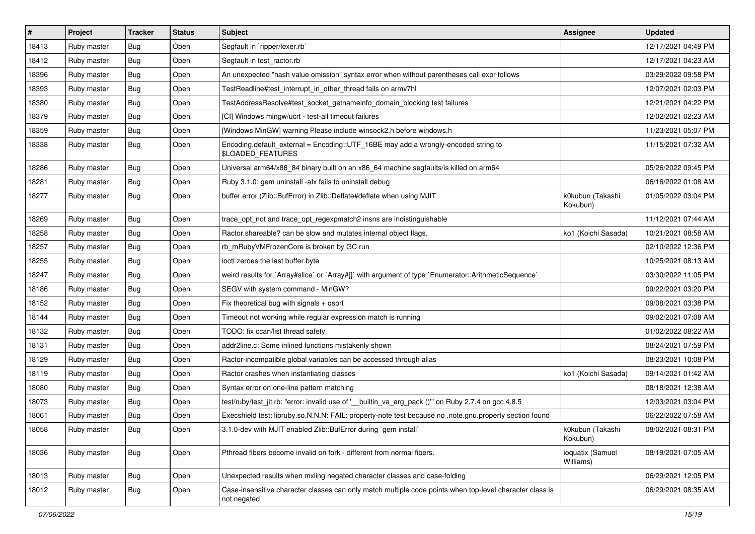| $\vert$ # | Project     | Tracker    | <b>Status</b> | Subject                                                                                                                 | Assignee                      | <b>Updated</b>      |
|-----------|-------------|------------|---------------|-------------------------------------------------------------------------------------------------------------------------|-------------------------------|---------------------|
| 18413     | Ruby master | Bug        | Open          | Segfault in `ripper/lexer.rb`                                                                                           |                               | 12/17/2021 04:49 PM |
| 18412     | Ruby master | Bug        | Open          | Segfault in test ractor.rb                                                                                              |                               | 12/17/2021 04:23 AM |
| 18396     | Ruby master | Bug        | Open          | An unexpected "hash value omission" syntax error when without parentheses call expr follows                             |                               | 03/29/2022 09:58 PM |
| 18393     | Ruby master | Bug        | Open          | TestReadline#test_interrupt_in_other_thread fails on armv7hl                                                            |                               | 12/07/2021 02:03 PM |
| 18380     | Ruby master | Bug        | Open          | TestAddressResolve#test_socket_getnameinfo_domain_blocking test failures                                                |                               | 12/21/2021 04:22 PM |
| 18379     | Ruby master | Bug        | Open          | [CI] Windows mingw/ucrt - test-all timeout failures                                                                     |                               | 12/02/2021 02:23 AM |
| 18359     | Ruby master | Bug        | Open          | [Windows MinGW] warning Please include winsock2.h before windows.h                                                      |                               | 11/23/2021 05:07 PM |
| 18338     | Ruby master | Bug        | Open          | Encoding.default_external = Encoding::UTF_16BE may add a wrongly-encoded string to<br>\$LOADED_FEATURES                 |                               | 11/15/2021 07:32 AM |
| 18286     | Ruby master | Bug        | Open          | Universal arm64/x86_84 binary built on an x86_64 machine segfaults/is killed on arm64                                   |                               | 05/26/2022 09:45 PM |
| 18281     | Ruby master | Bug        | Open          | Ruby 3.1.0: gem uninstall -alx fails to uninstall debug                                                                 |                               | 06/16/2022 01:08 AM |
| 18277     | Ruby master | Bug        | Open          | buffer error (Zlib::BufError) in Zlib::Deflate#deflate when using MJIT                                                  | k0kubun (Takashi<br>Kokubun)  | 01/05/2022 03:04 PM |
| 18269     | Ruby master | Bug        | Open          | trace_opt_not and trace_opt_regexpmatch2 insns are indistinguishable                                                    |                               | 11/12/2021 07:44 AM |
| 18258     | Ruby master | Bug        | Open          | Ractor shareable? can be slow and mutates internal object flags.                                                        | ko1 (Koichi Sasada)           | 10/21/2021 08:58 AM |
| 18257     | Ruby master | Bug        | Open          | rb_mRubyVMFrozenCore is broken by GC run                                                                                |                               | 02/10/2022 12:36 PM |
| 18255     | Ruby master | Bug        | Open          | ioctl zeroes the last buffer byte                                                                                       |                               | 10/25/2021 08:13 AM |
| 18247     | Ruby master | Bug        | Open          | weird results for `Array#slice` or `Array#[]` with argument of type `Enumerator::ArithmeticSequence`                    |                               | 03/30/2022 11:05 PM |
| 18186     | Ruby master | Bug        | Open          | SEGV with system command - MinGW?                                                                                       |                               | 09/22/2021 03:20 PM |
| 18152     | Ruby master | Bug        | Open          | Fix theoretical bug with signals + qsort                                                                                |                               | 09/08/2021 03:38 PM |
| 18144     | Ruby master | Bug        | Open          | Timeout not working while regular expression match is running                                                           |                               | 09/02/2021 07:08 AM |
| 18132     | Ruby master | Bug        | Open          | TODO: fix ccan/list thread safety                                                                                       |                               | 01/02/2022 08:22 AM |
| 18131     | Ruby master | Bug        | Open          | addr2line.c: Some inlined functions mistakenly shown                                                                    |                               | 08/24/2021 07:59 PM |
| 18129     | Ruby master | Bug        | Open          | Ractor-incompatible global variables can be accessed through alias                                                      |                               | 08/23/2021 10:08 PM |
| 18119     | Ruby master | Bug        | Open          | Ractor crashes when instantiating classes                                                                               | ko1 (Koichi Sasada)           | 09/14/2021 01:42 AM |
| 18080     | Ruby master | Bug        | Open          | Syntax error on one-line pattern matching                                                                               |                               | 08/18/2021 12:38 AM |
| 18073     | Ruby master | Bug        | Open          | test/ruby/test_jit.rb: "error: invalid use of '_builtin_va_arg_pack ()" on Ruby 2.7.4 on gcc 4.8.5                      |                               | 12/03/2021 03:04 PM |
| 18061     | Ruby master | Bug        | Open          | Execshield test: libruby.so.N.N.N: FAIL: property-note test because no .note.gnu.property section found                 |                               | 06/22/2022 07:58 AM |
| 18058     | Ruby master | Bug        | Open          | 3.1.0-dev with MJIT enabled Zlib::BufError during `gem install`                                                         | k0kubun (Takashi<br>Kokubun)  | 08/02/2021 08:31 PM |
| 18036     | Ruby master | <b>Bug</b> | Open          | Pthread fibers become invalid on fork - different from normal fibers.                                                   | ioquatix (Samuel<br>Williams) | 08/19/2021 07:05 AM |
| 18013     | Ruby master | Bug        | Open          | Unexpected results when mxiing negated character classes and case-folding                                               |                               | 06/29/2021 12:05 PM |
| 18012     | Ruby master | Bug        | Open          | Case-insensitive character classes can only match multiple code points when top-level character class is<br>not negated |                               | 06/29/2021 08:35 AM |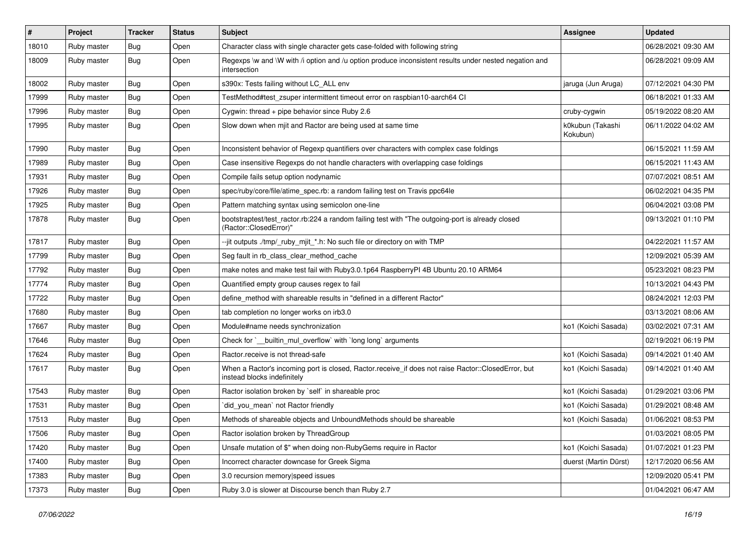| #     | Project     | <b>Tracker</b> | <b>Status</b> | <b>Subject</b>                                                                                                                    | <b>Assignee</b>              | <b>Updated</b>      |
|-------|-------------|----------------|---------------|-----------------------------------------------------------------------------------------------------------------------------------|------------------------------|---------------------|
| 18010 | Ruby master | Bug            | Open          | Character class with single character gets case-folded with following string                                                      |                              | 06/28/2021 09:30 AM |
| 18009 | Ruby master | Bug            | Open          | Regexps \w and \W with /i option and /u option produce inconsistent results under nested negation and<br>intersection             |                              | 06/28/2021 09:09 AM |
| 18002 | Ruby master | Bug            | Open          | s390x: Tests failing without LC_ALL env                                                                                           | jaruga (Jun Aruga)           | 07/12/2021 04:30 PM |
| 17999 | Ruby master | Bug            | Open          | TestMethod#test_zsuper intermittent timeout error on raspbian10-aarch64 CI                                                        |                              | 06/18/2021 01:33 AM |
| 17996 | Ruby master | Bug            | Open          | Cygwin: thread $+$ pipe behavior since Ruby 2.6                                                                                   | cruby-cygwin                 | 05/19/2022 08:20 AM |
| 17995 | Ruby master | Bug            | Open          | Slow down when mjit and Ractor are being used at same time                                                                        | k0kubun (Takashi<br>Kokubun) | 06/11/2022 04:02 AM |
| 17990 | Ruby master | Bug            | Open          | Inconsistent behavior of Regexp quantifiers over characters with complex case foldings                                            |                              | 06/15/2021 11:59 AM |
| 17989 | Ruby master | Bug            | Open          | Case insensitive Regexps do not handle characters with overlapping case foldings                                                  |                              | 06/15/2021 11:43 AM |
| 17931 | Ruby master | Bug            | Open          | Compile fails setup option nodynamic                                                                                              |                              | 07/07/2021 08:51 AM |
| 17926 | Ruby master | Bug            | Open          | spec/ruby/core/file/atime_spec.rb: a random failing test on Travis ppc64le                                                        |                              | 06/02/2021 04:35 PM |
| 17925 | Ruby master | Bug            | Open          | Pattern matching syntax using semicolon one-line                                                                                  |                              | 06/04/2021 03:08 PM |
| 17878 | Ruby master | Bug            | Open          | bootstraptest/test_ractor.rb:224 a random failing test with "The outgoing-port is already closed<br>(Ractor::ClosedError)"        |                              | 09/13/2021 01:10 PM |
| 17817 | Ruby master | Bug            | Open          | --jit outputs ./tmp/ ruby mjit *.h: No such file or directory on with TMP                                                         |                              | 04/22/2021 11:57 AM |
| 17799 | Ruby master | Bug            | Open          | Seg fault in rb_class_clear_method_cache                                                                                          |                              | 12/09/2021 05:39 AM |
| 17792 | Ruby master | Bug            | Open          | make notes and make test fail with Ruby3.0.1p64 RaspberryPI 4B Ubuntu 20.10 ARM64                                                 |                              | 05/23/2021 08:23 PM |
| 17774 | Ruby master | Bug            | Open          | Quantified empty group causes regex to fail                                                                                       |                              | 10/13/2021 04:43 PM |
| 17722 | Ruby master | Bug            | Open          | define_method with shareable results in "defined in a different Ractor"                                                           |                              | 08/24/2021 12:03 PM |
| 17680 | Ruby master | Bug            | Open          | tab completion no longer works on irb3.0                                                                                          |                              | 03/13/2021 08:06 AM |
| 17667 | Ruby master | Bug            | Open          | Module#name needs synchronization                                                                                                 | ko1 (Koichi Sasada)          | 03/02/2021 07:31 AM |
| 17646 | Ruby master | Bug            | Open          | Check for `__builtin_mul_overflow` with `long long` arguments                                                                     |                              | 02/19/2021 06:19 PM |
| 17624 | Ruby master | Bug            | Open          | Ractor.receive is not thread-safe                                                                                                 | ko1 (Koichi Sasada)          | 09/14/2021 01:40 AM |
| 17617 | Ruby master | Bug            | Open          | When a Ractor's incoming port is closed, Ractor.receive_if does not raise Ractor::ClosedError, but<br>instead blocks indefinitely | ko1 (Koichi Sasada)          | 09/14/2021 01:40 AM |
| 17543 | Ruby master | Bug            | Open          | Ractor isolation broken by `self` in shareable proc                                                                               | ko1 (Koichi Sasada)          | 01/29/2021 03:06 PM |
| 17531 | Ruby master | Bug            | Open          | did you mean' not Ractor friendly                                                                                                 | ko1 (Koichi Sasada)          | 01/29/2021 08:48 AM |
| 17513 | Ruby master | Bug            | Open          | Methods of shareable objects and UnboundMethods should be shareable                                                               | ko1 (Koichi Sasada)          | 01/06/2021 08:53 PM |
| 17506 | Ruby master | <b>Bug</b>     | Open          | Ractor isolation broken by ThreadGroup                                                                                            |                              | 01/03/2021 08:05 PM |
| 17420 | Ruby master | <b>Bug</b>     | Open          | Unsafe mutation of \$" when doing non-RubyGems require in Ractor                                                                  | ko1 (Koichi Sasada)          | 01/07/2021 01:23 PM |
| 17400 | Ruby master | <b>Bug</b>     | Open          | Incorrect character downcase for Greek Sigma                                                                                      | duerst (Martin Dürst)        | 12/17/2020 06:56 AM |
| 17383 | Ruby master | Bug            | Open          | 3.0 recursion memory speed issues                                                                                                 |                              | 12/09/2020 05:41 PM |
| 17373 | Ruby master | <b>Bug</b>     | Open          | Ruby 3.0 is slower at Discourse bench than Ruby 2.7                                                                               |                              | 01/04/2021 06:47 AM |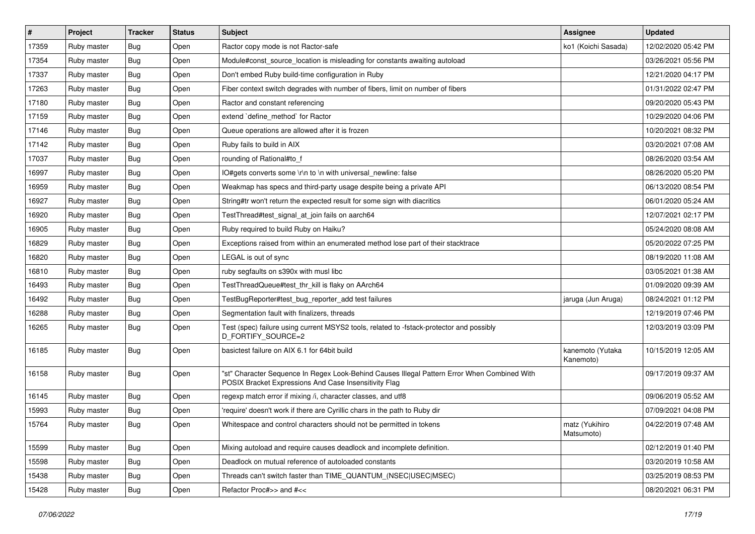| #     | Project     | <b>Tracker</b> | <b>Status</b> | <b>Subject</b>                                                                                                                                        | <b>Assignee</b>               | <b>Updated</b>      |
|-------|-------------|----------------|---------------|-------------------------------------------------------------------------------------------------------------------------------------------------------|-------------------------------|---------------------|
| 17359 | Ruby master | Bug            | Open          | Ractor copy mode is not Ractor-safe                                                                                                                   | ko1 (Koichi Sasada)           | 12/02/2020 05:42 PM |
| 17354 | Ruby master | Bug            | Open          | Module#const_source_location is misleading for constants awaiting autoload                                                                            |                               | 03/26/2021 05:56 PM |
| 17337 | Ruby master | Bug            | Open          | Don't embed Ruby build-time configuration in Ruby                                                                                                     |                               | 12/21/2020 04:17 PM |
| 17263 | Ruby master | Bug            | Open          | Fiber context switch degrades with number of fibers, limit on number of fibers                                                                        |                               | 01/31/2022 02:47 PM |
| 17180 | Ruby master | Bug            | Open          | Ractor and constant referencing                                                                                                                       |                               | 09/20/2020 05:43 PM |
| 17159 | Ruby master | Bug            | Open          | extend `define method` for Ractor                                                                                                                     |                               | 10/29/2020 04:06 PM |
| 17146 | Ruby master | Bug            | Open          | Queue operations are allowed after it is frozen                                                                                                       |                               | 10/20/2021 08:32 PM |
| 17142 | Ruby master | Bug            | Open          | Ruby fails to build in AIX                                                                                                                            |                               | 03/20/2021 07:08 AM |
| 17037 | Ruby master | Bug            | Open          | rounding of Rational#to_f                                                                                                                             |                               | 08/26/2020 03:54 AM |
| 16997 | Ruby master | Bug            | Open          | IO#gets converts some \r\n to \n with universal_newline: false                                                                                        |                               | 08/26/2020 05:20 PM |
| 16959 | Ruby master | Bug            | Open          | Weakmap has specs and third-party usage despite being a private API                                                                                   |                               | 06/13/2020 08:54 PM |
| 16927 | Ruby master | Bug            | Open          | String#tr won't return the expected result for some sign with diacritics                                                                              |                               | 06/01/2020 05:24 AM |
| 16920 | Ruby master | Bug            | Open          | TestThread#test signal at join fails on aarch64                                                                                                       |                               | 12/07/2021 02:17 PM |
| 16905 | Ruby master | Bug            | Open          | Ruby required to build Ruby on Haiku?                                                                                                                 |                               | 05/24/2020 08:08 AM |
| 16829 | Ruby master | Bug            | Open          | Exceptions raised from within an enumerated method lose part of their stacktrace                                                                      |                               | 05/20/2022 07:25 PM |
| 16820 | Ruby master | Bug            | Open          | LEGAL is out of sync                                                                                                                                  |                               | 08/19/2020 11:08 AM |
| 16810 | Ruby master | Bug            | Open          | ruby segfaults on s390x with musl libc                                                                                                                |                               | 03/05/2021 01:38 AM |
| 16493 | Ruby master | Bug            | Open          | TestThreadQueue#test_thr_kill is flaky on AArch64                                                                                                     |                               | 01/09/2020 09:39 AM |
| 16492 | Ruby master | Bug            | Open          | TestBugReporter#test_bug_reporter_add test failures                                                                                                   | jaruga (Jun Aruga)            | 08/24/2021 01:12 PM |
| 16288 | Ruby master | Bug            | Open          | Segmentation fault with finalizers, threads                                                                                                           |                               | 12/19/2019 07:46 PM |
| 16265 | Ruby master | Bug            | Open          | Test (spec) failure using current MSYS2 tools, related to -fstack-protector and possibly<br>D_FORTIFY_SOURCE=2                                        |                               | 12/03/2019 03:09 PM |
| 16185 | Ruby master | Bug            | Open          | basictest failure on AIX 6.1 for 64bit build                                                                                                          | kanemoto (Yutaka<br>Kanemoto) | 10/15/2019 12:05 AM |
| 16158 | Ruby master | Bug            | Open          | "st" Character Sequence In Regex Look-Behind Causes Illegal Pattern Error When Combined With<br>POSIX Bracket Expressions And Case Insensitivity Flag |                               | 09/17/2019 09:37 AM |
| 16145 | Ruby master | Bug            | Open          | regexp match error if mixing /i, character classes, and utf8                                                                                          |                               | 09/06/2019 05:52 AM |
| 15993 | Ruby master | Bug            | Open          | 'require' doesn't work if there are Cyrillic chars in the path to Ruby dir                                                                            |                               | 07/09/2021 04:08 PM |
| 15764 | Ruby master | Bug            | Open          | Whitespace and control characters should not be permitted in tokens                                                                                   | matz (Yukihiro<br>Matsumoto)  | 04/22/2019 07:48 AM |
| 15599 | Ruby master | Bug            | Open          | Mixing autoload and require causes deadlock and incomplete definition.                                                                                |                               | 02/12/2019 01:40 PM |
| 15598 | Ruby master | <b>Bug</b>     | Open          | Deadlock on mutual reference of autoloaded constants                                                                                                  |                               | 03/20/2019 10:58 AM |
| 15438 | Ruby master | <b>Bug</b>     | Open          | Threads can't switch faster than TIME_QUANTUM_(NSEC USEC MSEC)                                                                                        |                               | 03/25/2019 08:53 PM |
| 15428 | Ruby master | Bug            | Open          | Refactor Proc#>> and #<<                                                                                                                              |                               | 08/20/2021 06:31 PM |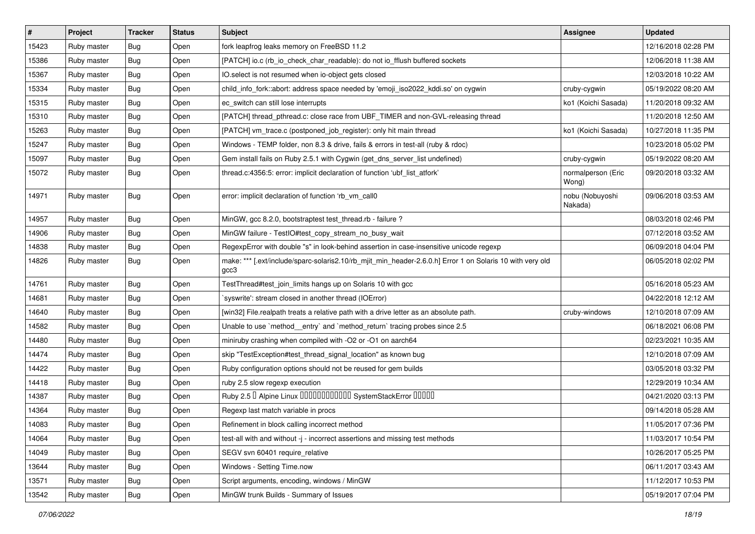| $\vert$ # | Project     | <b>Tracker</b> | <b>Status</b> | Subject                                                                                                           | <b>Assignee</b>             | <b>Updated</b>      |
|-----------|-------------|----------------|---------------|-------------------------------------------------------------------------------------------------------------------|-----------------------------|---------------------|
| 15423     | Ruby master | Bug            | Open          | fork leapfrog leaks memory on FreeBSD 11.2                                                                        |                             | 12/16/2018 02:28 PM |
| 15386     | Ruby master | Bug            | Open          | [PATCH] io.c (rb_io_check_char_readable): do not io_fflush buffered sockets                                       |                             | 12/06/2018 11:38 AM |
| 15367     | Ruby master | Bug            | Open          | IO.select is not resumed when io-object gets closed                                                               |                             | 12/03/2018 10:22 AM |
| 15334     | Ruby master | Bug            | Open          | child_info_fork::abort: address space needed by 'emoji_iso2022_kddi.so' on cygwin                                 | cruby-cygwin                | 05/19/2022 08:20 AM |
| 15315     | Ruby master | Bug            | Open          | ec_switch can still lose interrupts                                                                               | ko1 (Koichi Sasada)         | 11/20/2018 09:32 AM |
| 15310     | Ruby master | Bug            | Open          | [PATCH] thread pthread.c: close race from UBF TIMER and non-GVL-releasing thread                                  |                             | 11/20/2018 12:50 AM |
| 15263     | Ruby master | Bug            | Open          | [PATCH] vm_trace.c (postponed_job_register): only hit main thread                                                 | ko1 (Koichi Sasada)         | 10/27/2018 11:35 PM |
| 15247     | Ruby master | Bug            | Open          | Windows - TEMP folder, non 8.3 & drive, fails & errors in test-all (ruby & rdoc)                                  |                             | 10/23/2018 05:02 PM |
| 15097     | Ruby master | Bug            | Open          | Gem install fails on Ruby 2.5.1 with Cygwin (get_dns_server_list undefined)                                       | cruby-cygwin                | 05/19/2022 08:20 AM |
| 15072     | Ruby master | Bug            | Open          | thread.c:4356:5: error: implicit declaration of function 'ubf_list_atfork'                                        | normalperson (Eric<br>Wong) | 09/20/2018 03:32 AM |
| 14971     | Ruby master | Bug            | Open          | error: implicit declaration of function 'rb_vm_call0                                                              | nobu (Nobuyoshi<br>Nakada)  | 09/06/2018 03:53 AM |
| 14957     | Ruby master | Bug            | Open          | MinGW, gcc 8.2.0, bootstraptest test_thread.rb - failure ?                                                        |                             | 08/03/2018 02:46 PM |
| 14906     | Ruby master | Bug            | Open          | MinGW failure - TestIO#test_copy_stream_no_busy_wait                                                              |                             | 07/12/2018 03:52 AM |
| 14838     | Ruby master | Bug            | Open          | RegexpError with double "s" in look-behind assertion in case-insensitive unicode regexp                           |                             | 06/09/2018 04:04 PM |
| 14826     | Ruby master | Bug            | Open          | make: *** [.ext/include/sparc-solaris2.10/rb_mjit_min_header-2.6.0.h] Error 1 on Solaris 10 with very old<br>gcc3 |                             | 06/05/2018 02:02 PM |
| 14761     | Ruby master | Bug            | Open          | TestThread#test join limits hangs up on Solaris 10 with gcc                                                       |                             | 05/16/2018 05:23 AM |
| 14681     | Ruby master | Bug            | Open          | `syswrite': stream closed in another thread (IOError)                                                             |                             | 04/22/2018 12:12 AM |
| 14640     | Ruby master | Bug            | Open          | [win32] File.realpath treats a relative path with a drive letter as an absolute path.                             | cruby-windows               | 12/10/2018 07:09 AM |
| 14582     | Ruby master | Bug            | Open          | Unable to use `method_entry` and `method_return` tracing probes since 2.5                                         |                             | 06/18/2021 06:08 PM |
| 14480     | Ruby master | Bug            | Open          | miniruby crashing when compiled with -O2 or -O1 on aarch64                                                        |                             | 02/23/2021 10:35 AM |
| 14474     | Ruby master | Bug            | Open          | skip "TestException#test thread signal location" as known bug                                                     |                             | 12/10/2018 07:09 AM |
| 14422     | Ruby master | Bug            | Open          | Ruby configuration options should not be reused for gem builds                                                    |                             | 03/05/2018 03:32 PM |
| 14418     | Ruby master | Bug            | Open          | ruby 2.5 slow regexp execution                                                                                    |                             | 12/29/2019 10:34 AM |
| 14387     | Ruby master | Bug            | Open          | Ruby 2.5 <sup>D</sup> Alpine Linux 000000000000 SystemStackError 00000                                            |                             | 04/21/2020 03:13 PM |
| 14364     | Ruby master | Bug            | Open          | Regexp last match variable in procs                                                                               |                             | 09/14/2018 05:28 AM |
| 14083     | Ruby master | Bug            | Open          | Refinement in block calling incorrect method                                                                      |                             | 11/05/2017 07:36 PM |
| 14064     | Ruby master | Bug            | Open          | test-all with and without -j - incorrect assertions and missing test methods                                      |                             | 11/03/2017 10:54 PM |
| 14049     | Ruby master | Bug            | Open          | SEGV svn 60401 require_relative                                                                                   |                             | 10/26/2017 05:25 PM |
| 13644     | Ruby master | Bug            | Open          | Windows - Setting Time.now                                                                                        |                             | 06/11/2017 03:43 AM |
| 13571     | Ruby master | Bug            | Open          | Script arguments, encoding, windows / MinGW                                                                       |                             | 11/12/2017 10:53 PM |
| 13542     | Ruby master | <b>Bug</b>     | Open          | MinGW trunk Builds - Summary of Issues                                                                            |                             | 05/19/2017 07:04 PM |